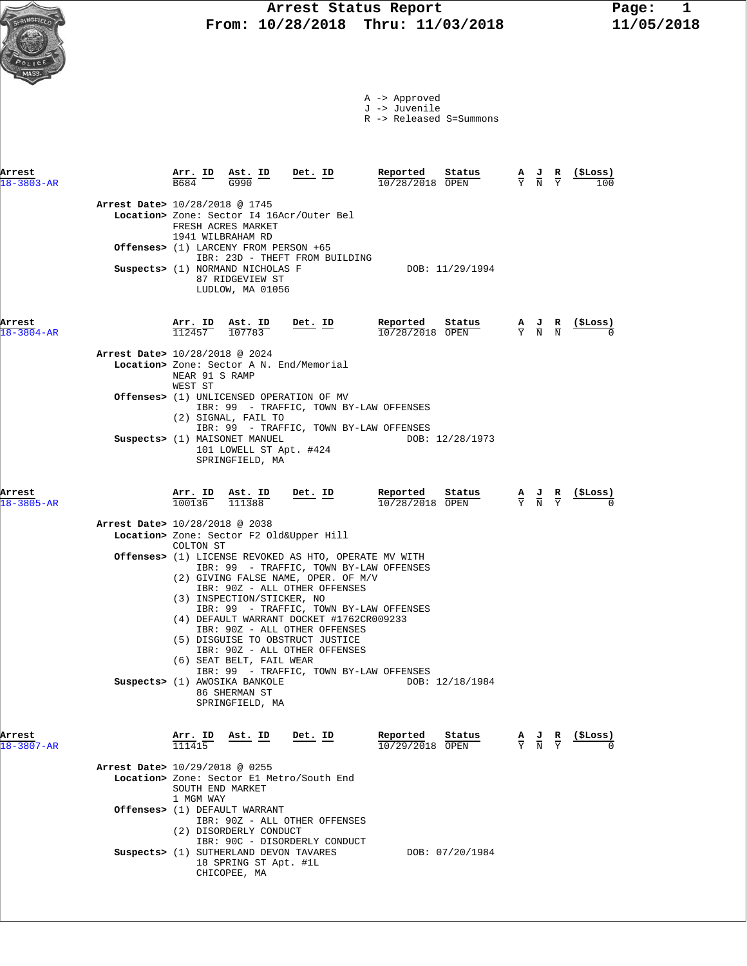|  |  | A -> Approved |
|--|--|---------------|
|  |  |               |

J -> Juvenile

R -> Released S=Summons

| Arrest<br>$18 - 3803 - AR$ |                                | Arr. ID<br>B684               | Ast. ID<br>G990                                                                                                                                             | Det. ID                                                                                                                                                                                                                       | Reported<br>10/28/2018 OPEN          | Status          | $\overline{Y}$ $\overline{N}$ | A J                                                                                             | R<br>$\overline{Y}$ | (SLoss)<br>100  |
|----------------------------|--------------------------------|-------------------------------|-------------------------------------------------------------------------------------------------------------------------------------------------------------|-------------------------------------------------------------------------------------------------------------------------------------------------------------------------------------------------------------------------------|--------------------------------------|-----------------|-------------------------------|-------------------------------------------------------------------------------------------------|---------------------|-----------------|
|                            | Arrest Date> 10/28/2018 @ 1745 |                               | FRESH ACRES MARKET<br>1941 WILBRAHAM RD<br>Offenses> (1) LARCENY FROM PERSON +65<br>Suspects> (1) NORMAND NICHOLAS F<br>87 RIDGEVIEW ST<br>LUDLOW, MA 01056 | Location> Zone: Sector I4 16Acr/Outer Bel<br>IBR: 23D - THEFT FROM BUILDING                                                                                                                                                   |                                      | DOB: 11/29/1994 |                               |                                                                                                 |                     |                 |
| Arrest<br>$18 - 3804 - AR$ |                                |                               | $\frac{\text{Arr. ID}}{112457}$ $\frac{\text{Ast. ID}}{107783}$                                                                                             | $Det. ID$                                                                                                                                                                                                                     | Reported Status<br>$10/28/2018$ OPEN |                 |                               | $\frac{\mathbf{A}}{\mathbf{Y}}$ $\frac{\mathbf{J}}{\mathbf{N}}$ $\frac{\mathbf{R}}{\mathbf{N}}$ |                     | <u>(SL</u> oss) |
|                            | Arrest Date> 10/28/2018 @ 2024 | NEAR 91 S RAMP<br>WEST ST     |                                                                                                                                                             | Location> Zone: Sector A N. End/Memorial                                                                                                                                                                                      |                                      |                 |                               |                                                                                                 |                     |                 |
|                            |                                |                               | (2) SIGNAL, FAIL TO                                                                                                                                         | <b>Offenses&gt;</b> (1) UNLICENSED OPERATION OF MV<br>IBR: 99 - TRAFFIC, TOWN BY-LAW OFFENSES                                                                                                                                 |                                      |                 |                               |                                                                                                 |                     |                 |
|                            |                                |                               | Suspects> (1) MAISONET MANUEL<br>101 LOWELL ST Apt. #424<br>SPRINGFIELD, MA                                                                                 | IBR: 99 - TRAFFIC, TOWN BY-LAW OFFENSES                                                                                                                                                                                       |                                      | DOB: 12/28/1973 |                               |                                                                                                 |                     |                 |
| Arrest<br>$18 - 3805 - AR$ |                                |                               |                                                                                                                                                             | $\frac{\texttt{Arr. ID}}{100136}$ $\frac{\texttt{ Ast. ID}}{111388}$ Det. ID                                                                                                                                                  | Reported Status<br>10/28/2018 OPEN   |                 |                               | $\frac{\mathbf{A}}{\mathbf{Y}}$ $\frac{\mathbf{J}}{\mathbf{N}}$ $\frac{\mathbf{R}}{\mathbf{Y}}$ |                     | (SLoss)         |
|                            | Arrest Date> 10/28/2018 @ 2038 | COLTON ST                     |                                                                                                                                                             | Location> Zone: Sector F2 Old&Upper Hill                                                                                                                                                                                      |                                      |                 |                               |                                                                                                 |                     |                 |
|                            |                                |                               | (3) INSPECTION/STICKER, NO                                                                                                                                  | <b>Offenses&gt;</b> (1) LICENSE REVOKED AS HTO, OPERATE MV WITH<br>IBR: 99 - TRAFFIC, TOWN BY-LAW OFFENSES<br>(2) GIVING FALSE NAME, OPER. OF M/V<br>IBR: 90Z - ALL OTHER OFFENSES<br>IBR: 99 - TRAFFIC, TOWN BY-LAW OFFENSES |                                      |                 |                               |                                                                                                 |                     |                 |
|                            |                                |                               | (6) SEAT BELT, FAIL WEAR                                                                                                                                    | (4) DEFAULT WARRANT DOCKET #1762CR009233<br>IBR: 90Z - ALL OTHER OFFENSES<br>(5) DISGUISE TO OBSTRUCT JUSTICE<br>IBR: 90Z - ALL OTHER OFFENSES<br>IBR: 99 - TRAFFIC, TOWN BY-LAW OFFENSES                                     |                                      |                 |                               |                                                                                                 |                     |                 |
|                            |                                |                               | Suspects> (1) AWOSIKA BANKOLE<br>86 SHERMAN ST<br>SPRINGFIELD, MA                                                                                           |                                                                                                                                                                                                                               |                                      | DOB: 12/18/1984 |                               |                                                                                                 |                     |                 |
| Arrest<br>$18 - 3807 - AR$ |                                | Arr. ID<br>111415             | Ast. ID                                                                                                                                                     | Det. ID                                                                                                                                                                                                                       | Reported<br>10/29/2018 OPEN          | Status          |                               |                                                                                                 |                     | (SLoss)         |
|                            | Arrest Date> 10/29/2018 @ 0255 | SOUTH END MARKET<br>1 MGM WAY |                                                                                                                                                             | Location> Zone: Sector El Metro/South End                                                                                                                                                                                     |                                      |                 |                               |                                                                                                 |                     |                 |
|                            |                                |                               | Offenses> (1) DEFAULT WARRANT<br>(2) DISORDERLY CONDUCT                                                                                                     | IBR: 90Z - ALL OTHER OFFENSES<br>IBR: 90C - DISORDERLY CONDUCT                                                                                                                                                                |                                      |                 |                               |                                                                                                 |                     |                 |
|                            |                                |                               |                                                                                                                                                             | Suspects> (1) SUTHERLAND DEVON TAVARES                                                                                                                                                                                        |                                      | DOB: 07/20/1984 |                               |                                                                                                 |                     |                 |

18 SPRING ST Apt. #1L

CHICOPEE, MA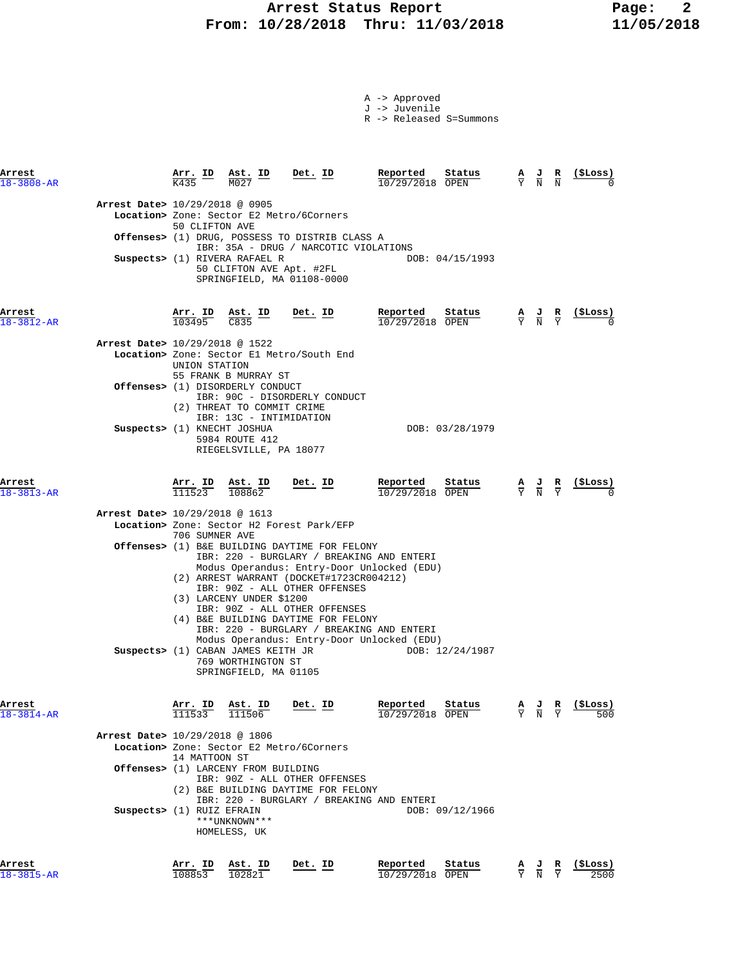### **Arrest Status Report Page: 2 From: 10/28/2018 Thru: 11/03/2018 11/05/2018**

| A -> Approved |
|---------------|
| J -> Juvenile |

R -> Released S=Summons

| Arrest<br>$18 - 3808 - AR$ |                                | Arr. ID<br><b>K435</b>         | Ast. ID<br>M027                                                                                     | Det. ID                                                                                                                                                                                                      | Reported<br>10/29/2018 OPEN                                                                                                                                                        | Status          | А<br>$\overline{Y}$             | J<br>$\overline{\textrm{N}}$                                                                    | R<br>$\overline{N}$           | (ŞLoss)          |
|----------------------------|--------------------------------|--------------------------------|-----------------------------------------------------------------------------------------------------|--------------------------------------------------------------------------------------------------------------------------------------------------------------------------------------------------------------|------------------------------------------------------------------------------------------------------------------------------------------------------------------------------------|-----------------|---------------------------------|-------------------------------------------------------------------------------------------------|-------------------------------|------------------|
|                            | Arrest Date> 10/29/2018 @ 0905 | 50 CLIFTON AVE                 |                                                                                                     | Location> Zone: Sector E2 Metro/6Corners                                                                                                                                                                     |                                                                                                                                                                                    |                 |                                 |                                                                                                 |                               |                  |
|                            |                                |                                |                                                                                                     | <b>Offenses&gt;</b> (1) DRUG, POSSESS TO DISTRIB CLASS A                                                                                                                                                     |                                                                                                                                                                                    |                 |                                 |                                                                                                 |                               |                  |
|                            |                                |                                | Suspects> (1) RIVERA RAFAEL R                                                                       | 50 CLIFTON AVE Apt. #2FL<br>SPRINGFIELD, MA 01108-0000                                                                                                                                                       | IBR: 35A - DRUG / NARCOTIC VIOLATIONS                                                                                                                                              | DOB: 04/15/1993 |                                 |                                                                                                 |                               |                  |
| Arrest<br>18-3812-AR       |                                |                                | $\frac{\text{Arr.}}{103495}$ $\frac{\text{Ast.}}{\text{C835}}$ ID Det. ID                           |                                                                                                                                                                                                              | Reported<br>10/29/2018 OPEN                                                                                                                                                        | Status          |                                 | $\frac{\mathbf{A}}{\mathbf{Y}}$ $\frac{\mathbf{J}}{\mathbf{N}}$ $\frac{\mathbf{R}}{\mathbf{Y}}$ |                               |                  |
|                            | Arrest Date> 10/29/2018 @ 1522 |                                |                                                                                                     |                                                                                                                                                                                                              |                                                                                                                                                                                    |                 |                                 |                                                                                                 |                               |                  |
|                            |                                | UNION STATION                  | 55 FRANK B MURRAY ST                                                                                | Location> Zone: Sector El Metro/South End                                                                                                                                                                    |                                                                                                                                                                                    |                 |                                 |                                                                                                 |                               |                  |
|                            |                                |                                | <b>Offenses&gt;</b> (1) DISORDERLY CONDUCT<br>(2) THREAT TO COMMIT CRIME<br>IBR: 13C - INTIMIDATION | IBR: 90C - DISORDERLY CONDUCT                                                                                                                                                                                |                                                                                                                                                                                    |                 |                                 |                                                                                                 |                               |                  |
|                            | Suspects> (1) KNECHT JOSHUA    |                                | 5984 ROUTE 412<br>RIEGELSVILLE, PA 18077                                                            |                                                                                                                                                                                                              |                                                                                                                                                                                    | DOB: 03/28/1979 |                                 |                                                                                                 |                               |                  |
| Arrest<br>$18 - 3813 - AR$ |                                | $\frac{\texttt{Arr.}}{111523}$ | <u>Ast. ID</u><br>108862                                                                            | <u>Det.</u> ID                                                                                                                                                                                               | Reported<br>10/29/2018 OPEN                                                                                                                                                        | Sta <u>tus</u>  |                                 | $\frac{A}{Y}$ $\frac{J}{N}$ $\frac{R}{Y}$                                                       |                               |                  |
|                            | Arrest Date> 10/29/2018 @ 1613 | 706 SUMNER AVE                 |                                                                                                     | Location> Zone: Sector H2 Forest Park/EFP                                                                                                                                                                    |                                                                                                                                                                                    |                 |                                 |                                                                                                 |                               |                  |
|                            |                                |                                | (3) LARCENY UNDER \$1200<br>Suspects> (1) CABAN JAMES KEITH JR                                      | <b>Offenses&gt;</b> (1) B&E BUILDING DAYTIME FOR FELONY<br>(2) ARREST WARRANT (DOCKET#1723CR004212)<br>IBR: 90Z - ALL OTHER OFFENSES<br>IBR: 90Z - ALL OTHER OFFENSES<br>(4) B&E BUILDING DAYTIME FOR FELONY | IBR: 220 - BURGLARY / BREAKING AND ENTERI<br>Modus Operandus: Entry-Door Unlocked (EDU)<br>IBR: 220 - BURGLARY / BREAKING AND ENTERI<br>Modus Operandus: Entry-Door Unlocked (EDU) | DOB: 12/24/1987 |                                 |                                                                                                 |                               |                  |
| Arrest                     |                                | Arr. ID                        | 769 WORTHINGTON ST<br>SPRINGFIELD, MA 01105<br>$\frac{\texttt{Ast.}}{111506}$                       | <u>Det.</u> ID                                                                                                                                                                                               | Reported                                                                                                                                                                           | Status          | $\frac{\mathbf{A}}{\mathbf{Y}}$ | $\frac{J}{N}$                                                                                   | $rac{\mathbf{R}}{\mathrm{Y}}$ | (\$Loss)         |
| $18 - 3814 - AR$           |                                | 111533                         |                                                                                                     |                                                                                                                                                                                                              | 10/29/2018 OPEN                                                                                                                                                                    |                 |                                 |                                                                                                 |                               |                  |
|                            | Arrest Date> 10/29/2018 @ 1806 | 14 MATTOON ST                  |                                                                                                     | Location> Zone: Sector E2 Metro/6Corners                                                                                                                                                                     |                                                                                                                                                                                    |                 |                                 |                                                                                                 |                               |                  |
|                            |                                |                                | Offenses> (1) LARCENY FROM BUILDING                                                                 | IBR: 90Z - ALL OTHER OFFENSES<br>(2) B&E BUILDING DAYTIME FOR FELONY                                                                                                                                         | IBR: 220 - BURGLARY / BREAKING AND ENTERI                                                                                                                                          |                 |                                 |                                                                                                 |                               |                  |
|                            | Suspects> (1) RUIZ EFRAIN      |                                | ***UNKNOWN***<br>HOMELESS, UK                                                                       |                                                                                                                                                                                                              |                                                                                                                                                                                    | DOB: 09/12/1966 |                                 |                                                                                                 |                               |                  |
| Arrest<br>18-3815-AR       |                                | Arr. ID<br>108853              | Ast. ID<br>102821                                                                                   | Det. ID                                                                                                                                                                                                      | Reported<br>10/29/2018                                                                                                                                                             | Status<br>OPEN  | Y                               | $\frac{J}{N}$                                                                                   | R                             | (\$Loss)<br>2500 |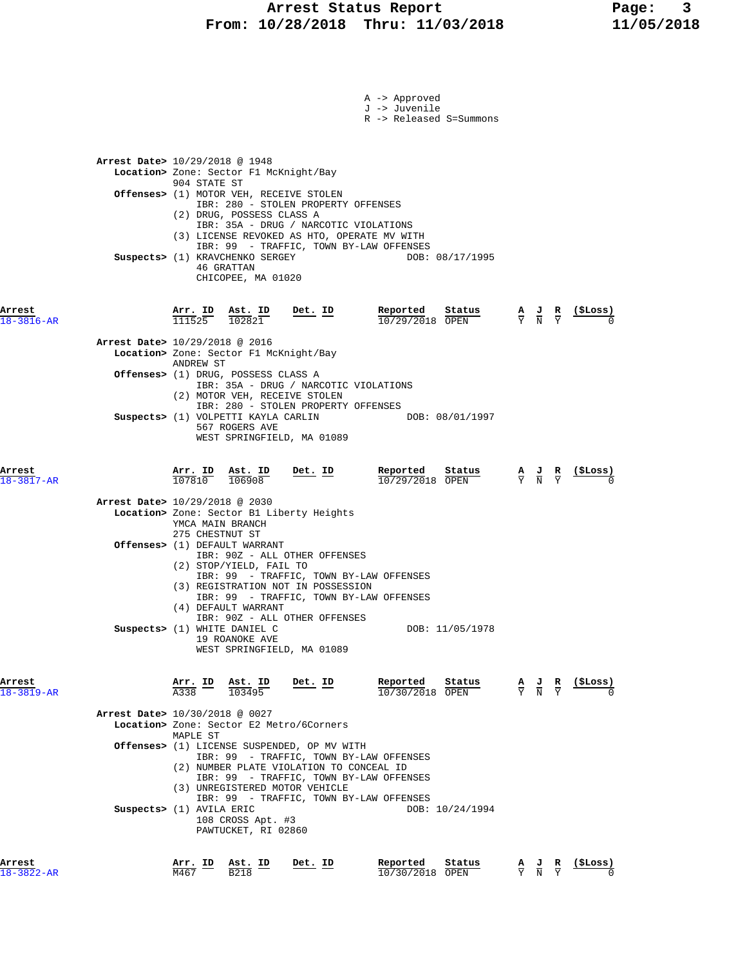|                            | A -> Approved<br>J -> Juvenile<br>R -> Released S=Summons                                                                                                                                                                                                               |
|----------------------------|-------------------------------------------------------------------------------------------------------------------------------------------------------------------------------------------------------------------------------------------------------------------------|
|                            | <b>Arrest Date&gt;</b> 10/29/2018 @ 1948<br>Location> Zone: Sector F1 McKnight/Bay<br>904 STATE ST<br>Offenses> (1) MOTOR VEH, RECEIVE STOLEN                                                                                                                           |
|                            | IBR: 280 - STOLEN PROPERTY OFFENSES<br>(2) DRUG, POSSESS CLASS A<br>IBR: 35A - DRUG / NARCOTIC VIOLATIONS<br>(3) LICENSE REVOKED AS HTO, OPERATE MV WITH<br>IBR: 99 - TRAFFIC, TOWN BY-LAW OFFENSES<br>Suspects> (1) KRAVCHENKO SERGEY<br>DOB: 08/17/1995<br>46 GRATTAN |
| Arrest<br>$18 - 3816 - AR$ | CHICOPEE, MA 01020<br>Reported<br>(\$Loss)<br>Arr. ID Ast. ID<br>$Det. ID$<br>Status<br>$\frac{\mathbf{A}}{\mathbf{Y}}$ $\frac{\mathbf{J}}{\mathbf{N}}$ $\frac{\mathbf{R}}{\mathbf{Y}}$<br>111525<br>102821<br>10/29/2018 OPEN                                          |
|                            | Arrest Date> 10/29/2018 @ 2016<br>Location> Zone: Sector F1 McKnight/Bay                                                                                                                                                                                                |
|                            | ANDREW ST<br>Offenses> (1) DRUG, POSSESS CLASS A<br>IBR: 35A - DRUG / NARCOTIC VIOLATIONS<br>(2) MOTOR VEH, RECEIVE STOLEN                                                                                                                                              |
|                            | IBR: 280 - STOLEN PROPERTY OFFENSES<br>Suspects> (1) VOLPETTI KAYLA CARLIN<br>DOB: 08/01/1997<br>567 ROGERS AVE<br>WEST SPRINGFIELD, MA 01089                                                                                                                           |
| Arrest<br>18-3817-AR       | Reported<br>Arr. ID Ast. ID<br>Det. ID<br>Status<br>(ŞLoss)<br>$\frac{\mathbf{A}}{\overline{Y}}$ $\frac{\mathbf{J}}{\overline{N}}$ $\frac{\mathbf{R}}{\overline{Y}}$<br>$107810$ $106908$<br>$10/29/2018$ OPEN                                                          |
|                            | Arrest Date> 10/29/2018 @ 2030<br>Location> Zone: Sector B1 Liberty Heights<br>YMCA MAIN BRANCH<br>275 CHESTNUT ST<br><b>Offenses&gt;</b> (1) DEFAULT WARRANT                                                                                                           |
|                            | IBR: 90Z - ALL OTHER OFFENSES<br>(2) STOP/YIELD, FAIL TO<br>IBR: 99 - TRAFFIC, TOWN BY-LAW OFFENSES<br>(3) REGISTRATION NOT IN POSSESSION<br>IBR: 99 - TRAFFIC, TOWN BY-LAW OFFENSES                                                                                    |
|                            | (4) DEFAULT WARRANT<br>IBR: 90Z - ALL OTHER OFFENSES<br>Suspects> (1) WHITE DANIEL C<br>DOB: 11/05/1978<br>19 ROANOKE AVE<br>WEST SPRINGFIELD, MA 01089                                                                                                                 |
| Arrest<br>$18 - 3819 - AR$ | <u>Arr. ID Ast. ID</u><br>Reported<br>Status<br>Det. ID<br>(ŞLoss)<br>$\frac{\mathbf{A}}{\mathbf{Y}}$ $\frac{\mathbf{J}}{\mathbf{N}}$<br>$\frac{R}{Y}$<br>A338<br>103495<br>$10/30/2018$ OPEN                                                                           |
|                            | Arrest Date> 10/30/2018 @ 0027<br>Location> Zone: Sector E2 Metro/6Corners                                                                                                                                                                                              |
|                            | MAPLE ST<br><b>Offenses&gt;</b> (1) LICENSE SUSPENDED, OP MV WITH<br>IBR: 99 - TRAFFIC, TOWN BY-LAW OFFENSES<br>(2) NUMBER PLATE VIOLATION TO CONCEAL ID<br>IBR: 99 - TRAFFIC, TOWN BY-LAW OFFENSES<br>(3) UNREGISTERED MOTOR VEHICLE                                   |
|                            | IBR: 99 - TRAFFIC, TOWN BY-LAW OFFENSES<br>Suspects> (1) AVILA ERIC<br>DOB: 10/24/1994<br>108 CROSS Apt. #3<br>PAWTUCKET, RI 02860                                                                                                                                      |
| Arrest<br>8-3822-AR        | Reported<br>Arr. ID<br>Ast. ID<br>Det. ID<br>Status<br>(ŞLoss)<br>$rac{\mathbf{R}}{\mathrm{Y}}$<br>$\frac{\mathbf{A}}{\mathbf{Y}}$<br>$\frac{J}{N}$<br>M467<br><b>B218</b><br>10/30/2018 OPEN                                                                           |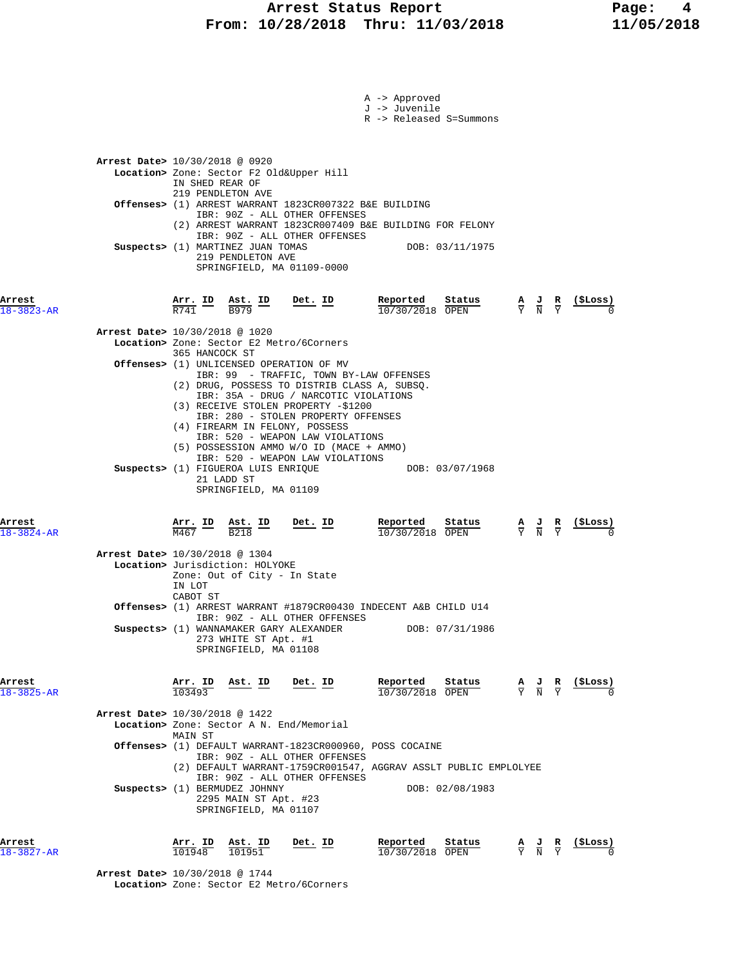|                            | A -> Approved<br>J -> Juvenile                                                                                                                                                                                                                                                                                 | R -> Released S=Summons                                                            |
|----------------------------|----------------------------------------------------------------------------------------------------------------------------------------------------------------------------------------------------------------------------------------------------------------------------------------------------------------|------------------------------------------------------------------------------------|
|                            | Arrest Date> 10/30/2018 @ 0920<br>Location> Zone: Sector F2 Old&Upper Hill<br>IN SHED REAR OF<br>219 PENDLETON AVE                                                                                                                                                                                             |                                                                                    |
|                            | Offenses> (1) ARREST WARRANT 1823CR007322 B&E BUILDING<br>IBR: 90Z - ALL OTHER OFFENSES<br>(2) ARREST WARRANT 1823CR007409 B&E BUILDING FOR FELONY                                                                                                                                                             |                                                                                    |
|                            | IBR: 90Z - ALL OTHER OFFENSES<br>Suspects> (1) MARTINEZ JUAN TOMAS<br>219 PENDLETON AVE<br>SPRINGFIELD, MA 01109-0000                                                                                                                                                                                          | DOB: 03/11/1975                                                                    |
| Arrest<br>$18 - 3823 - AR$ | Reported<br>$\frac{\text{Arr.}}{\text{R741}}$ ID $\frac{\text{Ast.}}{\text{B979}}$ ID<br><u>Det. ID</u>                                                                                                                                                                                                        | Status<br>(SLoss)<br>$\frac{A}{Y}$ $\frac{J}{N}$ $\frac{R}{Y}$<br>10/30/2018 OPEN  |
|                            | Arrest Date> 10/30/2018 @ 1020<br>Location> Zone: Sector E2 Metro/6Corners                                                                                                                                                                                                                                     |                                                                                    |
|                            | 365 HANCOCK ST<br>Offenses> (1) UNLICENSED OPERATION OF MV<br>IBR: 99 - TRAFFIC, TOWN BY-LAW OFFENSES<br>(2) DRUG, POSSESS TO DISTRIB CLASS A, SUBSQ.<br>IBR: 35A - DRUG / NARCOTIC VIOLATIONS                                                                                                                 |                                                                                    |
|                            | (3) RECEIVE STOLEN PROPERTY -\$1200<br>IBR: 280 - STOLEN PROPERTY OFFENSES<br>(4) FIREARM IN FELONY, POSSESS<br>IBR: 520 - WEAPON LAW VIOLATIONS<br>(5) POSSESSION AMMO W/O ID (MACE + AMMO)<br>IBR: 520 - WEAPON LAW VIOLATIONS<br>Suspects> (1) FIGUEROA LUIS ENRIQUE<br>21 LADD ST<br>SPRINGFIELD, MA 01109 | DOB: 03/07/1968                                                                    |
| Arrest<br>$18 - 3824 - AR$ | Reported<br>$\frac{\text{Arr.}}{\text{M467}}$ $\frac{\text{ID}}{\text{B218}}$ $\frac{\text{Ast.}}{\text{B218}}$<br>Det. ID                                                                                                                                                                                     | Status<br>$\frac{A}{Y}$ $\frac{J}{N}$ $\frac{R}{Y}$ (\$Loss)<br>10/30/2018 OPEN    |
|                            | Arrest Date> 10/30/2018 @ 1304<br>Location> Jurisdiction: HOLYOKE<br>Zone: Out of City - In State<br>IN LOT<br>CABOT ST                                                                                                                                                                                        |                                                                                    |
|                            | <b>Offenses&gt;</b> (1) ARREST WARRANT #1879CR00430 INDECENT A&B CHILD U14<br>IBR: 90Z - ALL OTHER OFFENSES                                                                                                                                                                                                    |                                                                                    |
|                            | Suspects> (1) WANNAMAKER GARY ALEXANDER<br>273 WHITE ST Apt. #1<br>SPRINGFIELD, MA 01108                                                                                                                                                                                                                       | DOB: 07/31/1986                                                                    |
| Arrest<br>$18 - 3825 - AR$ | Reported<br>Arr. ID<br>Ast. ID<br>Det. ID<br>103493                                                                                                                                                                                                                                                            | Status<br>(\$Loss)<br>$\frac{A}{Y}$ $\frac{J}{N}$ $\frac{R}{Y}$<br>10/30/2018 OPEN |
|                            | Arrest Date> 10/30/2018 @ 1422<br>Location> Zone: Sector A N. End/Memorial<br>MAIN ST                                                                                                                                                                                                                          |                                                                                    |
|                            | Offenses> (1) DEFAULT WARRANT-1823CR000960, POSS COCAINE<br>IBR: 90Z - ALL OTHER OFFENSES<br>(2) DEFAULT WARRANT-1759CR001547, AGGRAV ASSLT PUBLIC EMPLOLYEE<br>IBR: 90Z - ALL OTHER OFFENSES                                                                                                                  |                                                                                    |
|                            | Suspects> (1) BERMUDEZ JOHNNY<br>2295 MAIN ST Apt. #23<br>SPRINGFIELD, MA 01107                                                                                                                                                                                                                                | DOB: 02/08/1983                                                                    |
| Arrest<br>$18 - 3827 - AR$ | Reported<br>Arr. ID<br>Ast. ID<br>Det. ID<br>101948<br>101951                                                                                                                                                                                                                                                  | Status<br>$\frac{A}{Y}$ $\frac{J}{N}$<br>10/30/2018 OPEN                           |

 **Arrest Date>** 10/30/2018 @ 1744  **Location>** Zone: Sector E2 Metro/6Corners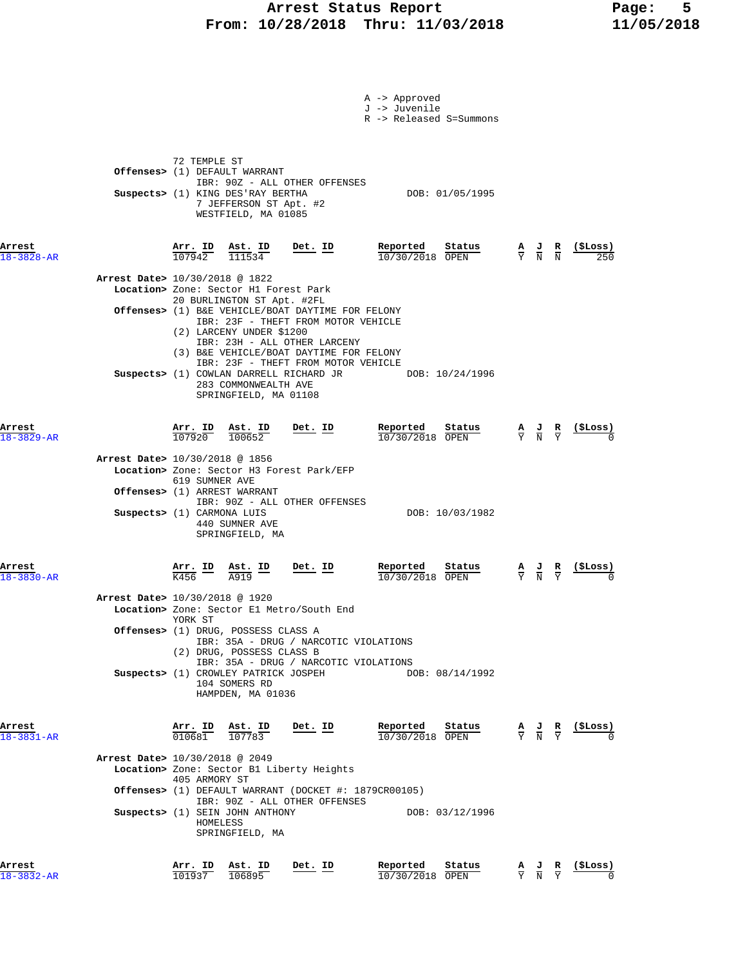### **Arrest Status Report Page: 5 From: 10/28/2018 Thru: 11/03/2018 11/05/2018**

|                                                              |                                                |                                                                                                                           |                                                                                                                                                  | A -> Approved<br>J -> Juvenile<br>R -> Released S=Summons                                                    |                                                                                                 |                               |                            |
|--------------------------------------------------------------|------------------------------------------------|---------------------------------------------------------------------------------------------------------------------------|--------------------------------------------------------------------------------------------------------------------------------------------------|--------------------------------------------------------------------------------------------------------------|-------------------------------------------------------------------------------------------------|-------------------------------|----------------------------|
|                                                              | 72 TEMPLE ST                                   | Offenses> (1) DEFAULT WARRANT<br>Suspects> (1) KING DES'RAY BERTHA<br>7 JEFFERSON ST Apt. #2<br>WESTFIELD, MA 01085       | IBR: 90Z - ALL OTHER OFFENSES                                                                                                                    | DOB: 01/05/1995                                                                                              |                                                                                                 |                               |                            |
| Arrest<br>$18 - 3828 - AR$<br>Arrest Date> 10/30/2018 @ 1822 | $\frac{\texttt{Arr. ID}}{107942}$              | $\frac{\texttt{Ast. ID}}{111534}$<br>Location> Zone: Sector H1 Forest Park                                                | Det. ID                                                                                                                                          | Reported<br>Status<br>10/30/2018 OPEN                                                                        | $\frac{A}{Y}$ $\frac{J}{N}$ $\frac{R}{N}$                                                       |                               | <u>(SLoss)</u>             |
|                                                              |                                                | 20 BURLINGTON ST Apt. #2FL<br>(2) LARCENY UNDER \$1200                                                                    | Offenses> (1) B&E VEHICLE/BOAT DAYTIME FOR FELONY<br>IBR: 23F - THEFT FROM MOTOR VEHICLE<br>IBR: 23H - ALL OTHER LARCENY                         |                                                                                                              |                                                                                                 |                               |                            |
|                                                              |                                                | 283 COMMONWEALTH AVE<br>SPRINGFIELD, MA 01108                                                                             | (3) B&E VEHICLE/BOAT DAYTIME FOR FELONY<br>IBR: 23F - THEFT FROM MOTOR VEHICLE<br>Suspects> (1) COWLAN DARRELL RICHARD JR                        | DOB: 10/24/1996                                                                                              |                                                                                                 |                               |                            |
| Arrest<br>18-3829-AR                                         |                                                | $\frac{\texttt{Arr. ID}}{107920}$ $\frac{\texttt{Ast. ID}}{100652}$                                                       | Det. ID                                                                                                                                          | Reported<br>Status<br>10/30/2018 OPEN                                                                        | $\frac{\mathbf{A}}{\mathbf{Y}}$ $\frac{\mathbf{J}}{\mathbf{N}}$ $\frac{\mathbf{R}}{\mathbf{Y}}$ |                               | (ŞLoss)                    |
| Arrest Date> 10/30/2018 @ 1856                               | 619 SUMNER AVE<br>Offenses> (1) ARREST WARRANT |                                                                                                                           | Location> Zone: Sector H3 Forest Park/EFP                                                                                                        |                                                                                                              |                                                                                                 |                               |                            |
|                                                              | Suspects> (1) CARMONA LUIS                     | 440 SUMNER AVE<br>SPRINGFIELD, MA                                                                                         | IBR: 90Z - ALL OTHER OFFENSES                                                                                                                    | DOB: 10/03/1982                                                                                              |                                                                                                 |                               |                            |
| Arrest<br>18-3830-AR                                         | Arr. ID<br>$\overline{K}$ 456                  | $\underline{\text{Ast. ID}}$<br>A919                                                                                      | $Det$ . ID                                                                                                                                       | Reported<br>Status<br>10/30/2018 OPEN                                                                        | $\frac{\mathbf{A}}{\mathbf{Y}}$ $\frac{\mathbf{J}}{\mathbf{N}}$                                 | $rac{\mathbf{R}}{\mathbf{Y}}$ |                            |
| Arrest Date> 10/30/2018 @ 1920                               | YORK ST                                        |                                                                                                                           | Location> Zone: Sector El Metro/South End                                                                                                        |                                                                                                              |                                                                                                 |                               |                            |
|                                                              |                                                | Offenses> (1) DRUG, POSSESS CLASS A<br>(2) DRUG, POSSESS CLASS B<br>Suspects> (1) CROWLEY PATRICK JOSPEH<br>104 SOMERS RD | IBR: 35A - DRUG / NARCOTIC VIOLATIONS<br>IBR: 35A - DRUG / NARCOTIC VIOLATIONS                                                                   | DOB: 08/14/1992                                                                                              |                                                                                                 |                               |                            |
| Arrest<br>18-3831-AR                                         |                                                | HAMPDEN, MA 01036<br>$\frac{\texttt{Arr. ID}}{010681}$ $\frac{\texttt{ Ast. ID}}{107783}$                                 | Det. ID                                                                                                                                          | Reported<br>$\frac{\text{Status}}{\text{OPEN}}$ $\frac{A}{Y}$ $\frac{J}{N}$ $\frac{R}{Y}$<br>10/30/2018 OPEN |                                                                                                 |                               | (SLoss)                    |
| Arrest Date> 10/30/2018 @ 2049                               | 405 ARMORY ST                                  |                                                                                                                           | Location> Zone: Sector B1 Liberty Heights<br><b>Offenses&gt;</b> (1) DEFAULT WARRANT (DOCKET #: $1879CR00105$ )<br>IBR: 90Z - ALL OTHER OFFENSES |                                                                                                              |                                                                                                 |                               |                            |
|                                                              | HOMELESS                                       | Suspects> (1) SEIN JOHN ANTHONY<br>SPRINGFIELD, MA                                                                        |                                                                                                                                                  | DOB: 03/12/1996                                                                                              |                                                                                                 |                               |                            |
| Arrest<br>18-3832-AR                                         | Arr. ID<br>101937                              | Ast. ID<br>106895                                                                                                         | Det. ID                                                                                                                                          | Reported<br>Status<br>10/30/2018 OPEN                                                                        | $\frac{A}{Y}$ $\frac{J}{N}$ $\frac{R}{Y}$                                                       |                               | $\frac{\text{($Loss)}}{0}$ |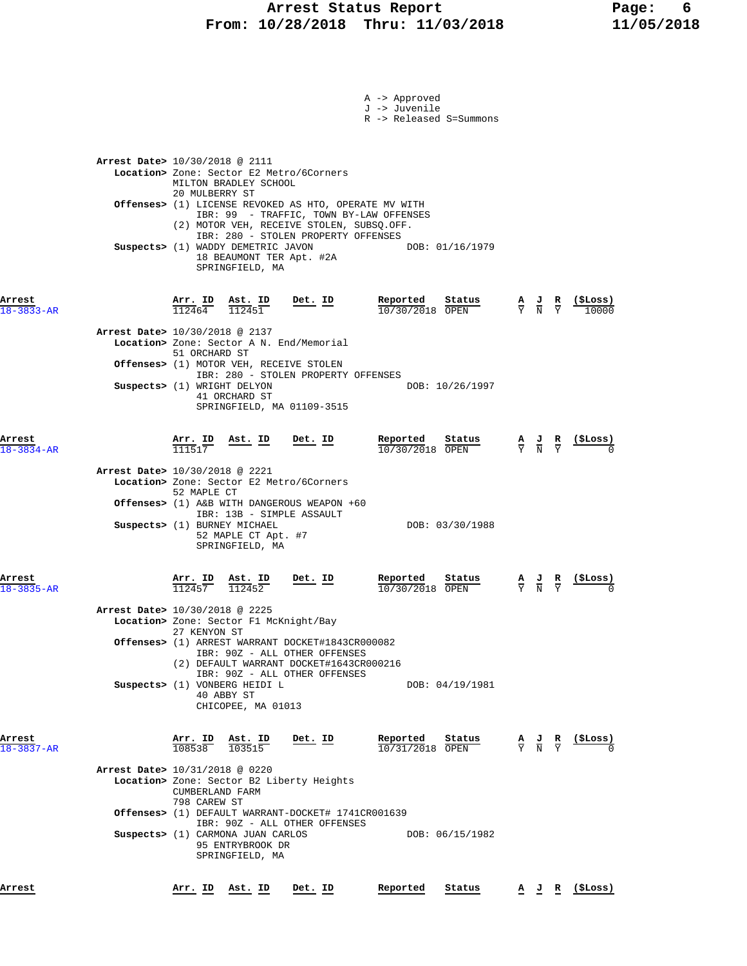|                  |                                                                                                  |         | A -> Approved<br>J -> Juvenile |                                                                                                 |                               |                |
|------------------|--------------------------------------------------------------------------------------------------|---------|--------------------------------|-------------------------------------------------------------------------------------------------|-------------------------------|----------------|
|                  |                                                                                                  |         | R -> Released S=Summons        |                                                                                                 |                               |                |
|                  |                                                                                                  |         |                                |                                                                                                 |                               |                |
|                  | Arrest Date> 10/30/2018 @ 2111                                                                   |         |                                |                                                                                                 |                               |                |
|                  | Location> Zone: Sector E2 Metro/6Corners                                                         |         |                                |                                                                                                 |                               |                |
|                  | MILTON BRADLEY SCHOOL<br>20 MULBERRY ST                                                          |         |                                |                                                                                                 |                               |                |
|                  | Offenses> (1) LICENSE REVOKED AS HTO, OPERATE MV WITH<br>IBR: 99 - TRAFFIC, TOWN BY-LAW OFFENSES |         |                                |                                                                                                 |                               |                |
|                  | (2) MOTOR VEH, RECEIVE STOLEN, SUBSQ.OFF.                                                        |         |                                |                                                                                                 |                               |                |
|                  | IBR: 280 - STOLEN PROPERTY OFFENSES<br>Suspects> (1) WADDY DEMETRIC JAVON                        |         | DOB: 01/16/1979                |                                                                                                 |                               |                |
|                  | 18 BEAUMONT TER Apt. #2A<br>SPRINGFIELD, MA                                                      |         |                                |                                                                                                 |                               |                |
|                  |                                                                                                  |         |                                |                                                                                                 |                               |                |
| Arrest           | $\frac{\text{Arr.}}{112464}$ $\frac{\text{B}}{112451}$ Det. ID                                   |         | Reported<br>Status             |                                                                                                 |                               |                |
| $3833 - AR$      |                                                                                                  |         | 10/30/2018 OPEN                | $\frac{\mathbf{A}}{\mathbf{Y}}$ $\frac{\mathbf{J}}{\mathbf{N}}$ $\frac{\mathbf{R}}{\mathbf{Y}}$ |                               |                |
|                  | Arrest Date> 10/30/2018 @ 2137                                                                   |         |                                |                                                                                                 |                               |                |
|                  | Location> Zone: Sector A N. End/Memorial<br>51 ORCHARD ST                                        |         |                                |                                                                                                 |                               |                |
|                  | Offenses> (1) MOTOR VEH, RECEIVE STOLEN                                                          |         |                                |                                                                                                 |                               |                |
|                  | IBR: 280 - STOLEN PROPERTY OFFENSES<br>Suspects> (1) WRIGHT DELYON                               |         | DOB: 10/26/1997                |                                                                                                 |                               |                |
|                  | 41 ORCHARD ST<br>SPRINGFIELD, MA 01109-3515                                                      |         |                                |                                                                                                 |                               |                |
|                  |                                                                                                  |         |                                |                                                                                                 |                               |                |
| Arrest           | Arr. ID<br>Ast. ID                                                                               | Det. ID | Reported<br>Status             | $\frac{A}{Y}$ $\frac{J}{N}$ $\frac{R}{Y}$                                                       |                               |                |
| 18-3834-AR       | 111517                                                                                           |         | 10/30/2018 OPEN                |                                                                                                 |                               |                |
|                  | Arrest Date> 10/30/2018 @ 2221                                                                   |         |                                |                                                                                                 |                               |                |
|                  | Location> Zone: Sector E2 Metro/6Corners<br>52 MAPLE CT                                          |         |                                |                                                                                                 |                               |                |
|                  | <b>Offenses&gt;</b> (1) A&B WITH DANGEROUS WEAPON +60<br>IBR: 13B - SIMPLE ASSAULT               |         |                                |                                                                                                 |                               |                |
|                  | Suspects> (1) BURNEY MICHAEL                                                                     |         | DOB: 03/30/1988                |                                                                                                 |                               |                |
|                  | 52 MAPLE CT Apt. #7<br>SPRINGFIELD, MA                                                           |         |                                |                                                                                                 |                               |                |
|                  |                                                                                                  |         |                                |                                                                                                 |                               |                |
| Arrest           | Arr. ID<br>Ast. ID<br>112452                                                                     | Det. ID | Reported<br>Status             | $\frac{A}{Y}$<br>$\frac{1}{N}$                                                                  | $rac{\mathbf{R}}{\mathbf{Y}}$ |                |
| $18 - 3835 - AR$ | 112457                                                                                           |         | 10/30/2018 OPEN                |                                                                                                 |                               |                |
|                  | Arrest Date> 10/30/2018 @ 2225<br>Location> Zone: Sector F1 McKnight/Bay                         |         |                                |                                                                                                 |                               |                |
|                  | 27 KENYON ST                                                                                     |         |                                |                                                                                                 |                               |                |
|                  | Offenses> (1) ARREST WARRANT DOCKET#1843CR000082<br>IBR: 90Z - ALL OTHER OFFENSES                |         |                                |                                                                                                 |                               |                |
|                  | (2) DEFAULT WARRANT DOCKET#1643CR000216<br>IBR: 90Z - ALL OTHER OFFENSES                         |         |                                |                                                                                                 |                               |                |
|                  | Suspects> (1) VONBERG HEIDI L                                                                    |         | DOB: 04/19/1981                |                                                                                                 |                               |                |
|                  | 40 ABBY ST<br>CHICOPEE, MA 01013                                                                 |         |                                |                                                                                                 |                               |                |
|                  |                                                                                                  |         |                                |                                                                                                 |                               |                |
| Arrest           | $\frac{\text{Arr.}}{108538}$<br>$\frac{\texttt{Ast.}}{103515}$                                   | Det. ID | Reported<br>Status             | $\frac{\mathbf{A}}{\mathbf{Y}}$ $\frac{\mathbf{J}}{\mathbf{N}}$ $\frac{\mathbf{R}}{\mathbf{Y}}$ |                               | <u>(SLoss)</u> |
| $18 - 3837 - AR$ |                                                                                                  |         | $10/31/2018$ OPEN              |                                                                                                 |                               |                |
|                  | Arrest Date> 10/31/2018 @ 0220<br>Location> Zone: Sector B2 Liberty Heights                      |         |                                |                                                                                                 |                               |                |
|                  | CUMBERLAND FARM                                                                                  |         |                                |                                                                                                 |                               |                |
|                  | 798 CAREW ST<br>Offenses> (1) DEFAULT WARRANT-DOCKET# 1741CR001639                               |         |                                |                                                                                                 |                               |                |
|                  | IBR: 90Z - ALL OTHER OFFENSES<br>Suspects> (1) CARMONA JUAN CARLOS                               |         | DOB: 06/15/1982                |                                                                                                 |                               |                |
|                  | 95 ENTRYBROOK DR                                                                                 |         |                                |                                                                                                 |                               |                |
|                  | SPRINGFIELD, MA                                                                                  |         |                                |                                                                                                 |                               |                |
| Arrest           | <u>Arr. ID Ast. ID</u>                                                                           | Det. ID | Reported<br>Status             |                                                                                                 |                               | A J R (\$Loss) |
|                  |                                                                                                  |         |                                |                                                                                                 |                               |                |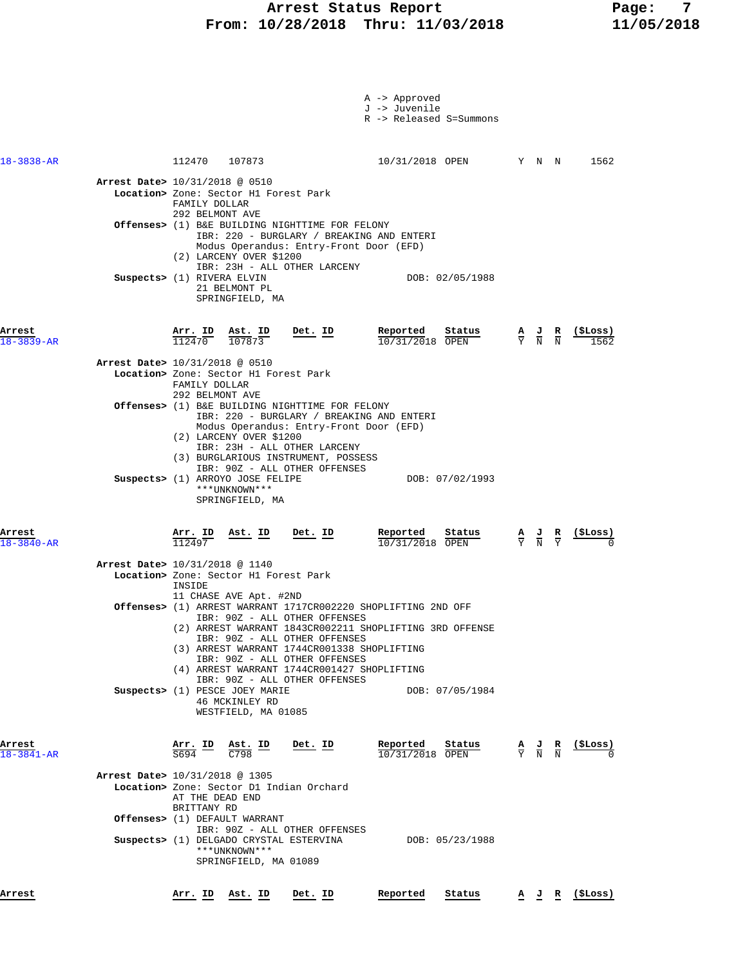### **Arrest Status Report Report Report Report Report Report Report Report Report Report Report Report Report Report Report Report Report Report Report Report Report Report Report Report Report Report Report Report Report Repo From: 10/28/2018 Thru: 11/03/2018 11/05/2018**

|                            |                                |                                                                                                     | Suspects> (1) ARROYO JOSE FELIPE<br>***UNKNOWN***<br>SPRINGFIELD, MA    | IBR: 90Z - ALL OTHER OFFENSES                                                                                                                                                                                                  | DOB: 07/02/1993                                                                                                                             |  |                                           |                                                               |
|----------------------------|--------------------------------|-----------------------------------------------------------------------------------------------------|-------------------------------------------------------------------------|--------------------------------------------------------------------------------------------------------------------------------------------------------------------------------------------------------------------------------|---------------------------------------------------------------------------------------------------------------------------------------------|--|-------------------------------------------|---------------------------------------------------------------|
| Arrest                     |                                | Arr. ID<br>112497                                                                                   | Ast. ID                                                                 | Det. ID                                                                                                                                                                                                                        | Reported<br>Status<br>$10/31/2018$ OPEN                                                                                                     |  | $\frac{A}{Y}$ $\frac{J}{N}$ $\frac{R}{Y}$ | (SLoss)                                                       |
|                            |                                |                                                                                                     |                                                                         |                                                                                                                                                                                                                                |                                                                                                                                             |  |                                           |                                                               |
| $18 - 3840 - AR$           | Arrest Date> 10/31/2018 @ 1140 | INSIDE                                                                                              | Location> Zone: Sector H1 Forest Park<br>11 CHASE AVE Apt. #2ND         |                                                                                                                                                                                                                                |                                                                                                                                             |  |                                           |                                                               |
|                            |                                |                                                                                                     | Suspects> (1) PESCE JOEY MARIE<br>46 MCKINLEY RD<br>WESTFIELD, MA 01085 | IBR: 90Z - ALL OTHER OFFENSES<br>IBR: 90Z - ALL OTHER OFFENSES<br>(3) ARREST WARRANT 1744CR001338 SHOPLIFTING<br>IBR: 90Z - ALL OTHER OFFENSES<br>(4) ARREST WARRANT 1744CR001427 SHOPLIFTING<br>IBR: 90Z - ALL OTHER OFFENSES | Offenses> (1) ARREST WARRANT 1717CR002220 SHOPLIFTING 2ND OFF<br>(2) ARREST WARRANT 1843CR002211 SHOPLIFTING 3RD OFFENSE<br>DOB: 07/05/1984 |  |                                           |                                                               |
|                            |                                | $\frac{\text{Arr.}}{\text{S694}}$ $\frac{\text{ID}}{\text{C798}}$ $\frac{\text{Ast.}}{\text{C798}}$ |                                                                         | <u>Det. ID</u>                                                                                                                                                                                                                 | Reported<br>Sta <u>tus</u><br>10/31/2018 OPEN                                                                                               |  |                                           | $\frac{A}{Y}$ $\frac{J}{N}$ $\frac{R}{N}$ $\frac{($Loss)}{0}$ |
| Arrest<br>$18 - 3841 - AR$ | Arrest Date> 10/31/2018 @ 1305 | AT THE DEAD END<br>BRITTANY RD                                                                      | Offenses> (1) DEFAULT WARRANT<br>***UNKNOWN***<br>SPRINGFIELD, MA 01089 | Location> Zone: Sector D1 Indian Orchard<br>IBR: 90Z - ALL OTHER OFFENSES<br>Suspects> (1) DELGADO CRYSTAL ESTERVINA                                                                                                           | DOB: 05/23/1988                                                                                                                             |  |                                           |                                                               |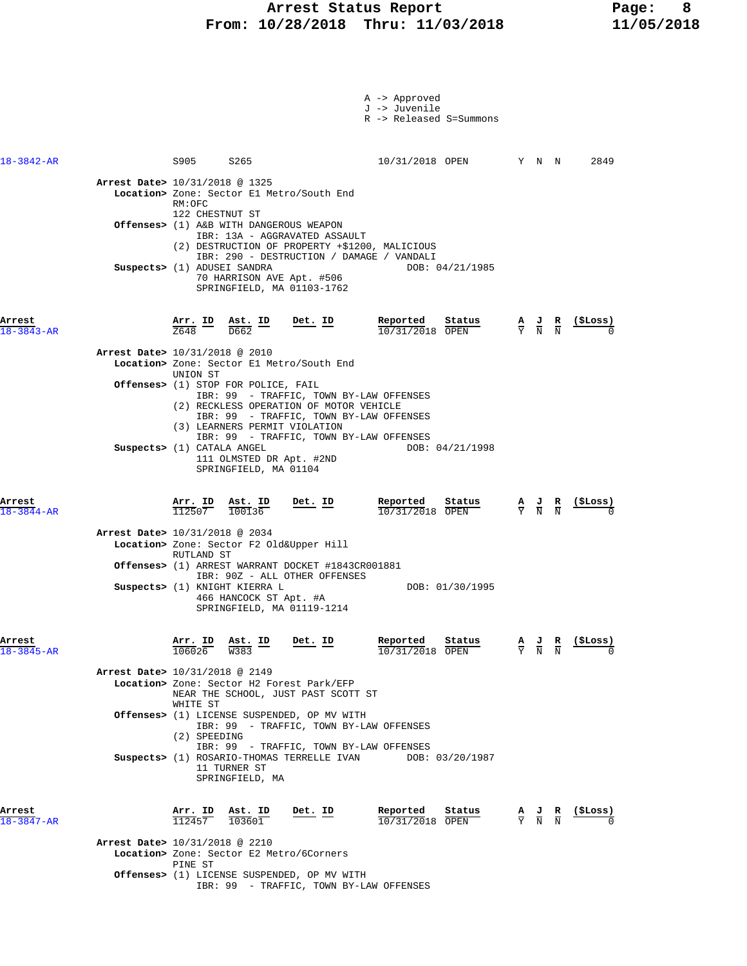|                                |                                                            |                                                               |                                                                                                                                                        | A -> Approved<br>J -> Juvenile<br>R -> Released S=Summons                                                    |                                                                                                 |                            |            |
|--------------------------------|------------------------------------------------------------|---------------------------------------------------------------|--------------------------------------------------------------------------------------------------------------------------------------------------------|--------------------------------------------------------------------------------------------------------------|-------------------------------------------------------------------------------------------------|----------------------------|------------|
| $18 - 3842 - AR$               | S905 S265                                                  |                                                               |                                                                                                                                                        | 10/31/2018 OPEN Y N N                                                                                        |                                                                                                 |                            | 2849       |
| Arrest Date> 10/31/2018 @ 1325 | RM:OFC                                                     |                                                               | Location> Zone: Sector E1 Metro/South End                                                                                                              |                                                                                                              |                                                                                                 |                            |            |
|                                | 122 CHESTNUT ST<br>Offenses> (1) A&B WITH DANGEROUS WEAPON |                                                               | IBR: 13A - AGGRAVATED ASSAULT                                                                                                                          |                                                                                                              |                                                                                                 |                            |            |
|                                | Suspects> (1) ADUSEI SANDRA                                |                                                               | (2) DESTRUCTION OF PROPERTY +\$1200, MALICIOUS<br>IBR: 290 - DESTRUCTION / DAMAGE / VANDALI<br>70 HARRISON AVE Apt. #506<br>SPRINGFIELD, MA 01103-1762 | DOB: 04/21/1985                                                                                              |                                                                                                 |                            |            |
| Arrest<br>$18 - 3843 - AR$     | Arr. ID<br>2648                                            | $\frac{\texttt{Ast. ID}}{\texttt{D662}}$<br>$\overline{D662}$ | Det. ID                                                                                                                                                | Reported<br>Status<br>10/31/2018 OPEN                                                                        | $\frac{\mathbf{A}}{\mathbf{Y}}$ $\frac{\mathbf{J}}{\mathbf{N}}$ $\frac{\mathbf{R}}{\mathbf{N}}$ |                            | (ŞLoss)    |
| Arrest Date> 10/31/2018 @ 2010 |                                                            |                                                               | Location> Zone: Sector El Metro/South End                                                                                                              |                                                                                                              |                                                                                                 |                            |            |
|                                | UNION ST<br>Offenses> (1) STOP FOR POLICE, FAIL            |                                                               | IBR: 99 - TRAFFIC, TOWN BY-LAW OFFENSES<br>(2) RECKLESS OPERATION OF MOTOR VEHICLE<br>IBR: 99 - TRAFFIC, TOWN BY-LAW OFFENSES                          |                                                                                                              |                                                                                                 |                            |            |
|                                | Suspects> (1) CATALA ANGEL                                 | 111 OLMSTED DR Apt. #2ND<br>SPRINGFIELD, MA 01104             | (3) LEARNERS PERMIT VIOLATION<br>IBR: 99 - TRAFFIC, TOWN BY-LAW OFFENSES                                                                               | DOB: 04/21/1998                                                                                              |                                                                                                 |                            |            |
| Arrest<br>$18 - 3844 - AR$     | Arr. ID Ast. ID<br>112507                                  | 100136                                                        | Det. ID                                                                                                                                                | Reported<br>Status<br>$10/31/2018$ OPEN                                                                      | $\frac{\mathbf{A}}{\mathbf{Y}}$ $\frac{\mathbf{J}}{\mathbf{N}}$ $\frac{\mathbf{R}}{\mathbf{N}}$ |                            | (ŞLoss)    |
|                                |                                                            |                                                               |                                                                                                                                                        |                                                                                                              |                                                                                                 |                            |            |
| Arrest Date> 10/31/2018 @ 2034 |                                                            |                                                               | Location> Zone: Sector F2 Old&Upper Hill                                                                                                               |                                                                                                              |                                                                                                 |                            |            |
|                                | RUTLAND ST                                                 |                                                               | Offenses> (1) ARREST WARRANT DOCKET #1843CR001881<br>IBR: 90Z - ALL OTHER OFFENSES                                                                     |                                                                                                              |                                                                                                 |                            |            |
|                                | Suspects> (1) KNIGHT KIERRA L                              | 466 HANCOCK ST Apt. #A                                        | SPRINGFIELD, MA 01119-1214                                                                                                                             | DOB: 01/30/1995                                                                                              |                                                                                                 |                            |            |
| Arrest<br>$18 - 3845 - AR$     | Arr. ID Ast. ID<br>106026                                  | W383                                                          | Det. ID                                                                                                                                                | Reported<br>Status<br>10/31/2018 OPEN                                                                        | $\frac{A}{Y}$ $\frac{J}{N}$                                                                     | $\frac{\mathbf{R}}{\rm N}$ | (\$Loss)   |
| Arrest Date> 10/31/2018 @ 2149 |                                                            |                                                               | Location> Zone: Sector H2 Forest Park/EFP<br>NEAR THE SCHOOL, JUST PAST SCOTT ST                                                                       |                                                                                                              |                                                                                                 |                            |            |
|                                | WHITE ST<br>(2) SPEEDING                                   |                                                               | Offenses> (1) LICENSE SUSPENDED, OP MV WITH<br>IBR: 99 - TRAFFIC, TOWN BY-LAW OFFENSES                                                                 |                                                                                                              |                                                                                                 |                            |            |
|                                |                                                            | 11 TURNER ST<br>SPRINGFIELD, MA                               | IBR: 99 - TRAFFIC, TOWN BY-LAW OFFENSES                                                                                                                | Suspects> (1) ROSARIO-THOMAS TERRELLE IVAN DOB: 03/20/1987                                                   |                                                                                                 |                            |            |
| Arrest<br>$18 - 3847 - AR$     | <u>Arr.</u> ID<br>112457                                   | $\frac{\texttt{Ast. ID}}{103601}$                             | <u>Det. ID</u>                                                                                                                                         | Reported<br>$\frac{\text{status}}{\text{OPEN}}$ $\frac{A}{Y}$ $\frac{J}{N}$ $\frac{R}{N}$<br>10/31/2018 OPEN |                                                                                                 |                            | $(5$ Loss) |
| Arrest Date> 10/31/2018 @ 2210 | PINE ST                                                    |                                                               | Location> Zone: Sector E2 Metro/6Corners                                                                                                               |                                                                                                              |                                                                                                 |                            |            |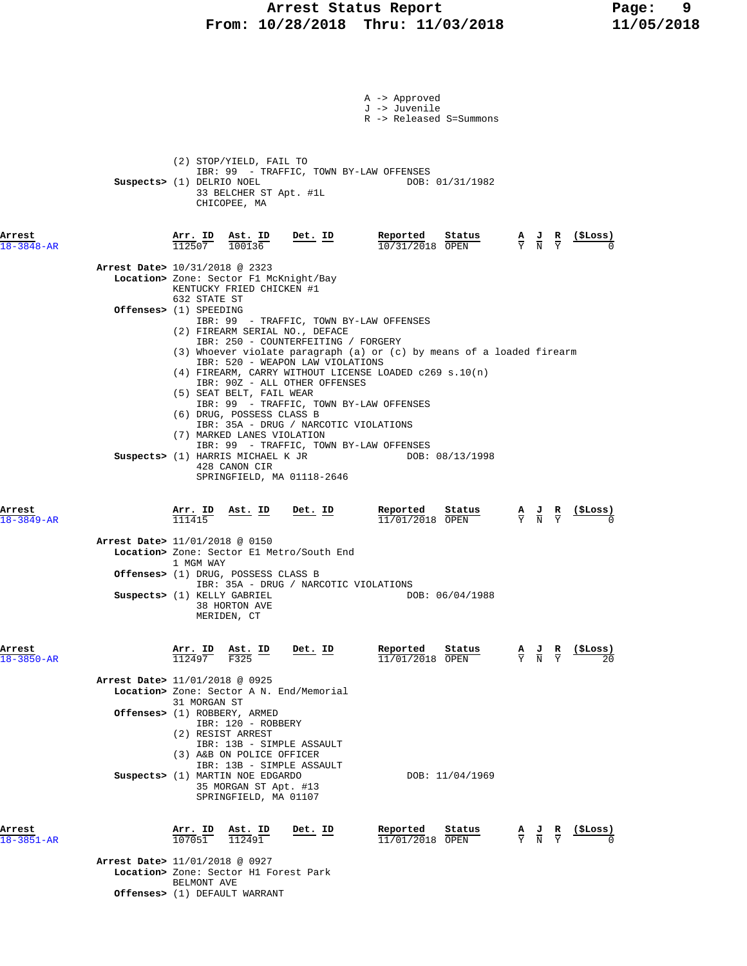# **Arrest Status Report** Page: 9<br>10/28/2018 Thru: 11/03/2018 11/05/2018  **From: 10/28/2018 Thru: 11/03/2018 11/05/2018**

|                            |                                                                                                                                                                                                                                                                                                                                                                                                                                                                                                                           | A -> Approved<br>J -> Juvenile<br>R -> Released S=Summons |                                                                                                                    |
|----------------------------|---------------------------------------------------------------------------------------------------------------------------------------------------------------------------------------------------------------------------------------------------------------------------------------------------------------------------------------------------------------------------------------------------------------------------------------------------------------------------------------------------------------------------|-----------------------------------------------------------|--------------------------------------------------------------------------------------------------------------------|
|                            | (2) STOP/YIELD, FAIL TO<br>IBR: 99 - TRAFFIC, TOWN BY-LAW OFFENSES<br>Suspects> (1) DELRIO NOEL<br>33 BELCHER ST Apt. #1L<br>CHICOPEE, MA                                                                                                                                                                                                                                                                                                                                                                                 | DOB: 01/31/1982                                           |                                                                                                                    |
| Arrest<br>$18 - 3848 - AR$ | <u>Arr. ID</u><br>112507<br><u>Det. ID</u><br>$\frac{\texttt{Ast.}}{100136}$                                                                                                                                                                                                                                                                                                                                                                                                                                              | Reported<br>Status<br>10/31/2018 OPEN                     | (SLoss)<br>$\frac{A}{Y}$ $\frac{J}{N}$ $\frac{R}{Y}$                                                               |
|                            | Arrest Date> 10/31/2018 @ 2323<br>Location> Zone: Sector F1 McKnight/Bay<br>KENTUCKY FRIED CHICKEN #1                                                                                                                                                                                                                                                                                                                                                                                                                     |                                                           |                                                                                                                    |
|                            | 632 STATE ST<br>Offenses> (1) SPEEDING<br>IBR: 99 - TRAFFIC, TOWN BY-LAW OFFENSES<br>(2) FIREARM SERIAL NO., DEFACE                                                                                                                                                                                                                                                                                                                                                                                                       |                                                           |                                                                                                                    |
|                            | IBR: 250 - COUNTERFEITING / FORGERY<br>(3) Whoever violate paragraph (a) or (c) by means of a loaded firearm<br>IBR: 520 - WEAPON LAW VIOLATIONS<br>$(4)$ FIREARM, CARRY WITHOUT LICENSE LOADED c269 s.10(n)<br>IBR: 90Z - ALL OTHER OFFENSES<br>(5) SEAT BELT, FAIL WEAR<br>IBR: 99 - TRAFFIC, TOWN BY-LAW OFFENSES<br>(6) DRUG, POSSESS CLASS B<br>IBR: 35A - DRUG / NARCOTIC VIOLATIONS<br>(7) MARKED LANES VIOLATION<br>IBR: 99 - TRAFFIC, TOWN BY-LAW OFFENSES<br>Suspects> (1) HARRIS MICHAEL K JR<br>428 CANON CIR | DOB: 08/13/1998                                           |                                                                                                                    |
| Arrest<br>$18 - 3849 - AR$ | SPRINGFIELD, MA 01118-2646<br>Ast. ID<br>$\frac{\text{Arr.}}{111415}$<br><u>Det. ID</u>                                                                                                                                                                                                                                                                                                                                                                                                                                   | Reported<br>Status<br>$11/01/2018$ OPEN                   | <u>(\$Loss)</u><br>$\frac{\mathbf{A}}{\mathbf{Y}}$ $\frac{\mathbf{J}}{\mathbf{N}}$ $\frac{\mathbf{R}}{\mathbf{Y}}$ |
|                            | Arrest Date> 11/01/2018 @ 0150<br>Location> Zone: Sector El Metro/South End<br>1 MGM WAY                                                                                                                                                                                                                                                                                                                                                                                                                                  |                                                           |                                                                                                                    |
|                            | <b>Offenses&gt;</b> (1) DRUG, POSSESS CLASS B<br>IBR: 35A - DRUG / NARCOTIC VIOLATIONS<br>Suspects> (1) KELLY GABRIEL                                                                                                                                                                                                                                                                                                                                                                                                     | DOB: 06/04/1988                                           |                                                                                                                    |
|                            | 38 HORTON AVE<br>MERIDEN, CT                                                                                                                                                                                                                                                                                                                                                                                                                                                                                              |                                                           |                                                                                                                    |
| Arrest<br>$18 - 3850 - AR$ | Arr. ID<br>Ast. ID<br>Det. ID<br>112497<br>F325                                                                                                                                                                                                                                                                                                                                                                                                                                                                           | Reported<br>Status<br>11/01/2018 OPEN                     | (SLoss)<br>$\frac{A}{Y}$ $\frac{J}{N}$ $\frac{R}{Y}$                                                               |
|                            | Arrest Date> 11/01/2018 @ 0925<br>Location> Zone: Sector A N. End/Memorial<br>31 MORGAN ST                                                                                                                                                                                                                                                                                                                                                                                                                                |                                                           |                                                                                                                    |
|                            | <b>Offenses&gt;</b> (1) ROBBERY, ARMED<br>IBR: 120 - ROBBERY<br>(2) RESIST ARREST<br>IBR: 13B - SIMPLE ASSAULT<br>(3) A&B ON POLICE OFFICER<br>IBR: 13B - SIMPLE ASSAULT                                                                                                                                                                                                                                                                                                                                                  |                                                           |                                                                                                                    |
|                            | Suspects> (1) MARTIN NOE EDGARDO<br>35 MORGAN ST Apt. #13<br>SPRINGFIELD, MA 01107                                                                                                                                                                                                                                                                                                                                                                                                                                        | DOB: 11/04/1969                                           |                                                                                                                    |
| Arrest<br>$18 - 3851 - AR$ | Arr. ID<br>Ast. ID<br>Det. ID<br>107051<br>112491                                                                                                                                                                                                                                                                                                                                                                                                                                                                         | Reported<br>Status<br>11/01/2018 OPEN                     | (ŞLoss)<br>$\frac{\mathbf{A}}{\mathbf{Y}}$ $\frac{\mathbf{J}}{\mathbf{N}}$ $\frac{\mathbf{R}}{\mathbf{Y}}$         |
|                            | Arrest Date> 11/01/2018 @ 0927<br>Location> Zone: Sector H1 Forest Park<br>BELMONT AVE<br>Offenses> (1) DEFAULT WARRANT                                                                                                                                                                                                                                                                                                                                                                                                   |                                                           |                                                                                                                    |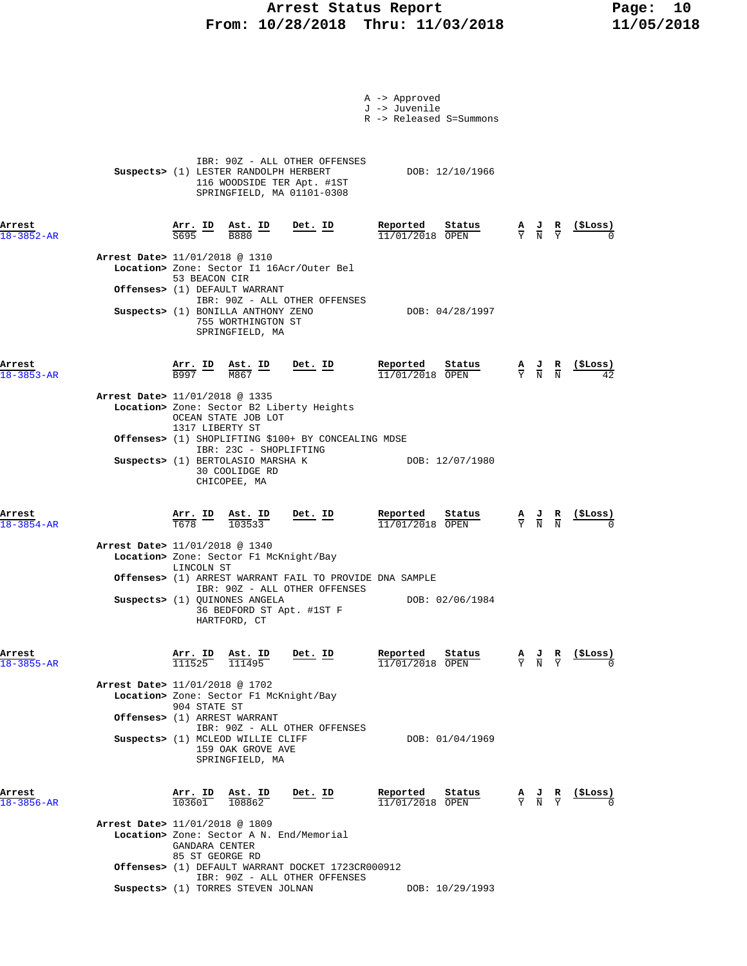### Arrest Status Report Fage: 10  **From: 10/28/2018 Thru: 11/03/2018 11/05/2018**

|                            |                                |                                          |                                                                                                                                                                        |                | A -> Approved<br>J -> Juvenile | R -> Released S=Summons                     |                                                                                                 |                                                                                 |
|----------------------------|--------------------------------|------------------------------------------|------------------------------------------------------------------------------------------------------------------------------------------------------------------------|----------------|--------------------------------|---------------------------------------------|-------------------------------------------------------------------------------------------------|---------------------------------------------------------------------------------|
|                            |                                |                                          | IBR: 90Z - ALL OTHER OFFENSES<br>Suspects> (1) LESTER RANDOLPH HERBERT<br>116 WOODSIDE TER Apt. #1ST<br>SPRINGFIELD, MA 01101-0308                                     |                |                                | DOB: 12/10/1966                             |                                                                                                 |                                                                                 |
| Arrest<br>$18 - 3852 - AR$ |                                | $\frac{\texttt{Arr.}}{\texttt{S695}}$ ID | $\frac{\texttt{Ast.}}{\texttt{B880}}$ ID                                                                                                                               | $Det. ID$      | Reported                       | Status<br>$11/01/2018$ OPEN                 | $\frac{A}{Y}$ $\frac{J}{N}$ $\frac{R}{Y}$                                                       | $\frac{\text{($Loss)}}{0}$                                                      |
|                            | Arrest Date> 11/01/2018 @ 1310 | 53 BEACON CIR                            | Location> Zone: Sector I1 16Acr/Outer Bel<br>Offenses> (1) DEFAULT WARRANT<br>IBR: 90Z - ALL OTHER OFFENSES<br>Suspects> (1) BONILLA ANTHONY ZENO                      |                |                                | DOB: 04/28/1997                             |                                                                                                 |                                                                                 |
|                            |                                |                                          | 755 WORTHINGTON ST<br>SPRINGFIELD, MA                                                                                                                                  |                |                                |                                             |                                                                                                 |                                                                                 |
| Arrest<br>$18 - 3853 - AR$ | Arrest Date> 11/01/2018 @ 1335 |                                          | $\frac{\text{Arr.}}{\text{B997}}$ $\frac{\text{lb}}{\text{M867}}$ $\frac{\text{lb}}{\text{M867}}$<br>M867<br>Location> Zone: Sector B2 Liberty Heights                 | <u>Det. ID</u> | Reported                       | Status<br>$11/01/2018$ OPEN                 | $\frac{\mathbf{A}}{\mathbf{Y}}$ $\frac{\mathbf{J}}{\mathbf{N}}$ $\frac{\mathbf{R}}{\mathbf{N}}$ | (SLoss)                                                                         |
|                            |                                | 1317 LIBERTY ST                          | OCEAN STATE JOB LOT<br>Offenses> (1) SHOPLIFTING \$100+ BY CONCEALING MDSE<br>IBR: 23C - SHOPLIFTING<br>Suspects> (1) BERTOLASIO MARSHA K                              |                |                                | DOB: 12/07/1980                             |                                                                                                 |                                                                                 |
|                            |                                |                                          | 30 COOLIDGE RD<br>CHICOPEE, MA                                                                                                                                         |                |                                |                                             |                                                                                                 |                                                                                 |
| Arrest<br>$18 - 3854 - AR$ | Arrest Date> 11/01/2018 @ 1340 |                                          | $\frac{\text{Arr.}}{\text{T678}}$ ID $\frac{\text{Ast.}}{103533}$ Det. ID<br>Location> Zone: Sector F1 McKnight/Bay                                                    |                |                                | $\frac{\text{Reported}}{11/01/2018}$ Status |                                                                                                 | $\frac{A}{Y}$ $\frac{J}{N}$ $\frac{R}{N}$ (\$Loss)                              |
|                            |                                | LINCOLN ST                               | Offenses> (1) ARREST WARRANT FAIL TO PROVIDE DNA SAMPLE<br>IBR: 90Z - ALL OTHER OFFENSES<br>Suspects> (1) QUINONES ANGELA<br>36 BEDFORD ST Apt. #1ST F<br>HARTFORD, CT |                |                                | DOB: 02/06/1984                             |                                                                                                 |                                                                                 |
| Arrest<br>18-3855-AR       | Arrest Date> 11/01/2018 @ 1702 |                                          | $\frac{\text{Arr. ID}}{111525}$ $\frac{\text{Ast. ID}}{111495}$ Det. ID                                                                                                |                | Reported                       | <u>Status</u><br>$11/01/2018$ OPEN          |                                                                                                 | $\frac{A}{Y}$ $\frac{J}{N}$ $\frac{R}{Y}$ $\frac{(\frac{5}{2} \text{Loss})}{0}$ |
|                            |                                | 904 STATE ST                             | Location> Zone: Sector F1 McKnight/Bay<br>Offenses> (1) ARREST WARRANT<br>IBR: 90Z - ALL OTHER OFFENSES<br>Suspects> (1) MCLEOD WILLIE CLIFF<br>159 OAK GROVE AVE      |                |                                | DOB: 01/04/1969                             |                                                                                                 |                                                                                 |
| Arrest<br>$18 - 3856 - AR$ |                                | Arr. ID<br>103601                        | SPRINGFIELD, MA<br>Ast. ID<br>$\frac{108862}{108862}$                                                                                                                  | Det. ID        | Reported                       | Status<br>11/01/2018 OPEN                   | $\frac{A}{Y}$ $\frac{J}{N}$ $\frac{R}{Y}$                                                       | (\$Loss)                                                                        |
|                            | Arrest Date> 11/01/2018 @ 1809 | GANDARA CENTER<br>85 ST GEORGE RD        | Location> Zone: Sector A N. End/Memorial                                                                                                                               |                |                                |                                             |                                                                                                 |                                                                                 |
|                            |                                |                                          | Offenses> (1) DEFAULT WARRANT DOCKET 1723CR000912<br>IBR: 90Z - ALL OTHER OFFENSES                                                                                     |                |                                |                                             |                                                                                                 |                                                                                 |
|                            |                                |                                          | Suspects> (1) TORRES STEVEN JOLNAN                                                                                                                                     |                |                                | DOB: 10/29/1993                             |                                                                                                 |                                                                                 |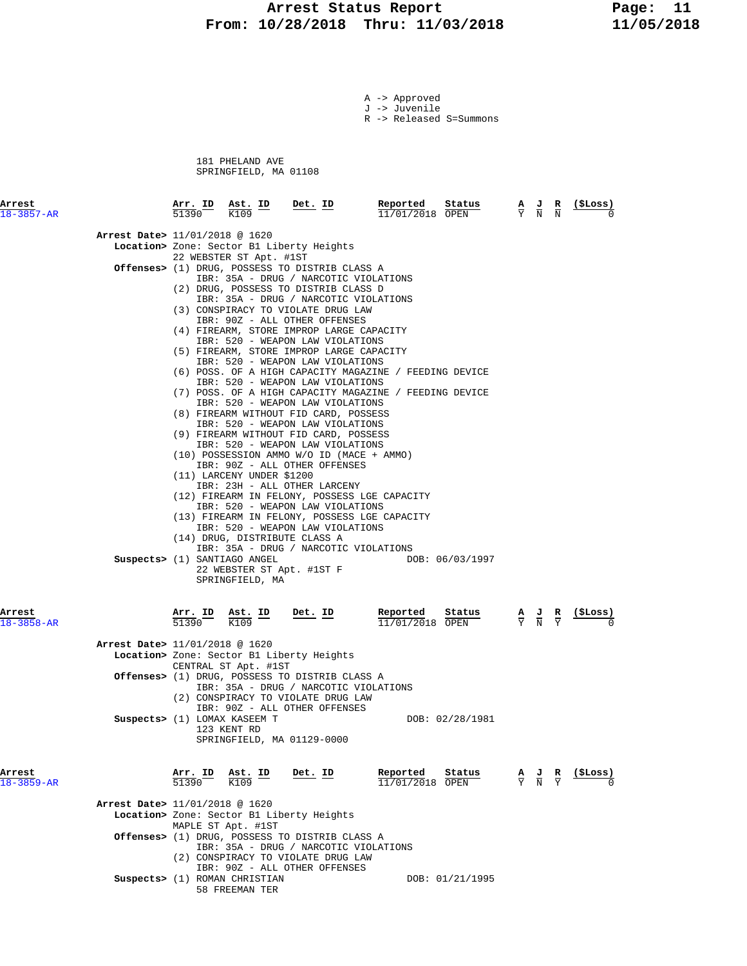## Arrest Status Report Page: 11  **From: 10/28/2018 Thru: 11/03/2018 11/05/2018**

A -> Approved J -> Juvenile

R -> Released S=Summons

 181 PHELAND AVE SPRINGFIELD, MA 01108

| Arrest<br>$18 - 3857 - AR$     | 51390                   | Arr. ID Ast. ID<br>K109                              | Det. ID                                                                                                                                                                                                                                                                                                                                                                                                                                                                                                                                                                                                                                                                                                                                                                                                                                                                                                                                                                                                                                                                                                                                         | Reported<br>11/01/2018 OPEN | Status          | А<br>$\overline{Y}$         | $\frac{1}{N}$                                                                                   | $\frac{\mathbf{R}}{\rm N}$    | (ŞLoss)        |
|--------------------------------|-------------------------|------------------------------------------------------|-------------------------------------------------------------------------------------------------------------------------------------------------------------------------------------------------------------------------------------------------------------------------------------------------------------------------------------------------------------------------------------------------------------------------------------------------------------------------------------------------------------------------------------------------------------------------------------------------------------------------------------------------------------------------------------------------------------------------------------------------------------------------------------------------------------------------------------------------------------------------------------------------------------------------------------------------------------------------------------------------------------------------------------------------------------------------------------------------------------------------------------------------|-----------------------------|-----------------|-----------------------------|-------------------------------------------------------------------------------------------------|-------------------------------|----------------|
| Arrest Date> 11/01/2018 @ 1620 |                         |                                                      | Location> Zone: Sector B1 Liberty Heights                                                                                                                                                                                                                                                                                                                                                                                                                                                                                                                                                                                                                                                                                                                                                                                                                                                                                                                                                                                                                                                                                                       |                             |                 |                             |                                                                                                 |                               |                |
|                                |                         | 22 WEBSTER ST Apt. #1ST<br>(11) LARCENY UNDER \$1200 | <b>Offenses&gt;</b> (1) DRUG, POSSESS TO DISTRIB CLASS A<br>IBR: 35A - DRUG / NARCOTIC VIOLATIONS<br>(2) DRUG, POSSESS TO DISTRIB CLASS D<br>IBR: 35A - DRUG / NARCOTIC VIOLATIONS<br>(3) CONSPIRACY TO VIOLATE DRUG LAW<br>IBR: 90Z - ALL OTHER OFFENSES<br>(4) FIREARM, STORE IMPROP LARGE CAPACITY<br>IBR: 520 - WEAPON LAW VIOLATIONS<br>(5) FIREARM, STORE IMPROP LARGE CAPACITY<br>IBR: 520 - WEAPON LAW VIOLATIONS<br>(6) POSS. OF A HIGH CAPACITY MAGAZINE / FEEDING DEVICE<br>IBR: 520 - WEAPON LAW VIOLATIONS<br>(7) POSS. OF A HIGH CAPACITY MAGAZINE / FEEDING DEVICE<br>IBR: 520 - WEAPON LAW VIOLATIONS<br>(8) FIREARM WITHOUT FID CARD, POSSESS<br>IBR: 520 - WEAPON LAW VIOLATIONS<br>(9) FIREARM WITHOUT FID CARD, POSSESS<br>IBR: 520 - WEAPON LAW VIOLATIONS<br>(10) POSSESSION AMMO W/O ID (MACE + AMMO)<br>IBR: 90Z - ALL OTHER OFFENSES<br>IBR: 23H - ALL OTHER LARCENY<br>(12) FIREARM IN FELONY, POSSESS LGE CAPACITY<br>IBR: 520 - WEAPON LAW VIOLATIONS<br>(13) FIREARM IN FELONY, POSSESS LGE CAPACITY<br>IBR: 520 - WEAPON LAW VIOLATIONS<br>(14) DRUG, DISTRIBUTE CLASS A<br>IBR: 35A - DRUG / NARCOTIC VIOLATIONS |                             |                 |                             |                                                                                                 |                               |                |
|                                |                         | Suspects> (1) SANTIAGO ANGEL<br>SPRINGFIELD, MA      | 22 WEBSTER ST Apt. #1ST F                                                                                                                                                                                                                                                                                                                                                                                                                                                                                                                                                                                                                                                                                                                                                                                                                                                                                                                                                                                                                                                                                                                       |                             | DOB: 06/03/1997 |                             |                                                                                                 |                               |                |
| Arrest<br>$18 - 3858 - AR$     | <u>Arr. ID</u><br>51390 | $\frac{\texttt{Ast.}}{\text{K109}}$ ID<br>K109       | Det. ID                                                                                                                                                                                                                                                                                                                                                                                                                                                                                                                                                                                                                                                                                                                                                                                                                                                                                                                                                                                                                                                                                                                                         | Reported<br>11/01/2018 OPEN | Status          |                             | $\frac{\mathbf{A}}{\mathbf{Y}}$ $\frac{\mathbf{J}}{\mathbf{N}}$ $\frac{\mathbf{R}}{\mathbf{Y}}$ |                               | <u>(SLoss)</u> |
| Arrest Date> 11/01/2018 @ 1620 |                         | CENTRAL ST Apt. #1ST                                 | Location> Zone: Sector B1 Liberty Heights<br><b>Offenses&gt;</b> (1) DRUG, POSSESS TO DISTRIB CLASS A<br>IBR: 35A - DRUG / NARCOTIC VIOLATIONS<br>(2) CONSPIRACY TO VIOLATE DRUG LAW                                                                                                                                                                                                                                                                                                                                                                                                                                                                                                                                                                                                                                                                                                                                                                                                                                                                                                                                                            |                             |                 |                             |                                                                                                 |                               |                |
|                                |                         | Suspects> (1) LOMAX KASEEM T<br>123 KENT RD          | IBR: 90Z - ALL OTHER OFFENSES<br>SPRINGFIELD, MA 01129-0000                                                                                                                                                                                                                                                                                                                                                                                                                                                                                                                                                                                                                                                                                                                                                                                                                                                                                                                                                                                                                                                                                     |                             | DOB: 02/28/1981 |                             |                                                                                                 |                               |                |
| Arrest<br>$18 - 3859 - AR$     | Arr. ID<br>51390        | <u>Ast. ID</u><br>K109                               | Det. ID                                                                                                                                                                                                                                                                                                                                                                                                                                                                                                                                                                                                                                                                                                                                                                                                                                                                                                                                                                                                                                                                                                                                         | Reported<br>11/01/2018 OPEN | Status          | $\frac{A}{Y}$ $\frac{J}{N}$ |                                                                                                 | $rac{\mathbf{R}}{\mathrm{Y}}$ | (\$Loss)       |
| Arrest Date> 11/01/2018 @ 1620 |                         | MAPLE ST Apt. #1ST                                   | Location> Zone: Sector B1 Liberty Heights<br>Offenses> (1) DRUG, POSSESS TO DISTRIB CLASS A                                                                                                                                                                                                                                                                                                                                                                                                                                                                                                                                                                                                                                                                                                                                                                                                                                                                                                                                                                                                                                                     |                             |                 |                             |                                                                                                 |                               |                |
|                                |                         |                                                      | IBR: 35A - DRUG / NARCOTIC VIOLATIONS<br>(2) CONSPIRACY TO VIOLATE DRUG LAW<br>IBR: 90Z - ALL OTHER OFFENSES                                                                                                                                                                                                                                                                                                                                                                                                                                                                                                                                                                                                                                                                                                                                                                                                                                                                                                                                                                                                                                    |                             |                 |                             |                                                                                                 |                               |                |

**Suspects>** (1) ROMAN CHRISTIAN DOB: 01/21/1995 58 FREEMAN TER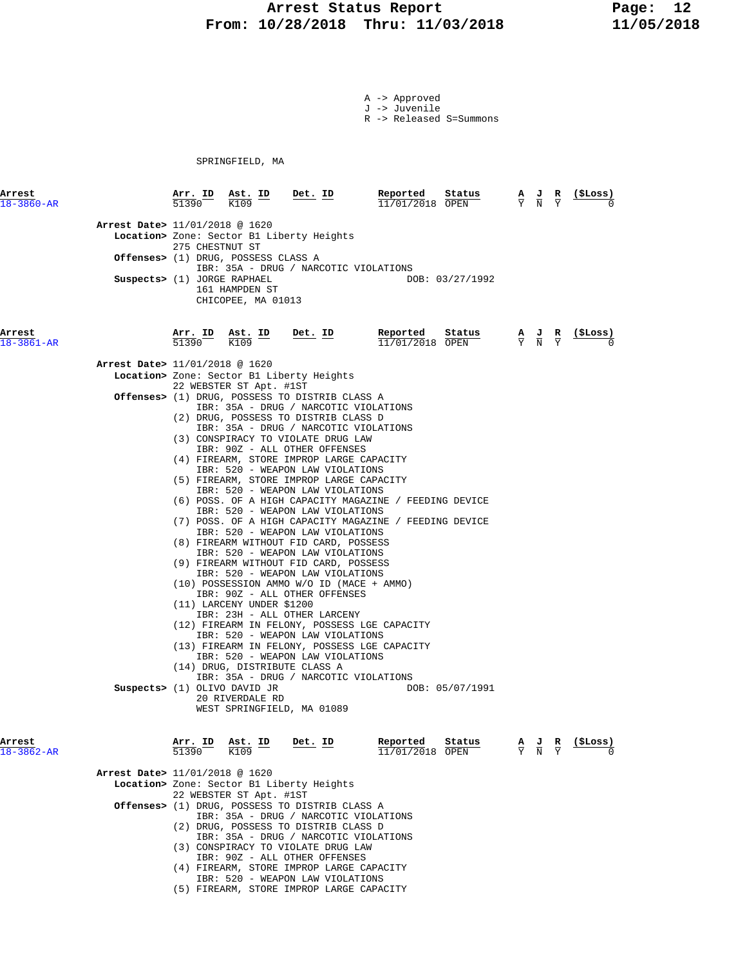## Arrest Status Report Page: 12  **From: 10/28/2018 Thru: 11/03/2018 11/05/2018**

A -> Approved J -> Juvenile

R -> Released S=Summons

SPRINGFIELD, MA

| Arrest<br>$18 - 3860 - AR$                                    | <u>Arr. ID</u><br>51390 | $\frac{\texttt{Ast.}}{\text{K109}}$ ID                                      | <u>Det. ID</u>                                                                                                                                                                                                                                                                                                                                                                                                                                                                                                                                                                                                                                                                                                                                                                                                                                                                                                                                                                   | Reported<br>Status<br>11/01/2018 OPEN                                                                            | $\frac{A}{Y}$ $\frac{J}{N}$                                                                           | ( \$Loss)     |
|---------------------------------------------------------------|-------------------------|-----------------------------------------------------------------------------|----------------------------------------------------------------------------------------------------------------------------------------------------------------------------------------------------------------------------------------------------------------------------------------------------------------------------------------------------------------------------------------------------------------------------------------------------------------------------------------------------------------------------------------------------------------------------------------------------------------------------------------------------------------------------------------------------------------------------------------------------------------------------------------------------------------------------------------------------------------------------------------------------------------------------------------------------------------------------------|------------------------------------------------------------------------------------------------------------------|-------------------------------------------------------------------------------------------------------|---------------|
| Arrest Date> 11/01/2018 @ 1620<br>Suspects> (1) JORGE RAPHAEL | 275 CHESTNUT ST         | Offenses> (1) DRUG, POSSESS CLASS A<br>161 HAMPDEN ST<br>CHICOPEE, MA 01013 | Location> Zone: Sector B1 Liberty Heights<br>IBR: 35A - DRUG / NARCOTIC VIOLATIONS                                                                                                                                                                                                                                                                                                                                                                                                                                                                                                                                                                                                                                                                                                                                                                                                                                                                                               | DOB: 03/27/1992                                                                                                  |                                                                                                       |               |
| Arrest<br>$18 - 3861 - AR$                                    | Arr. ID<br>51390        | Ast. ID<br>K109                                                             | Det. ID                                                                                                                                                                                                                                                                                                                                                                                                                                                                                                                                                                                                                                                                                                                                                                                                                                                                                                                                                                          | Reported<br>Status<br>11/01/2018 OPEN                                                                            | $\frac{\mathbf{A}}{\overline{Y}}$ $\frac{\mathbf{J}}{\overline{N}}$ $\frac{\mathbf{R}}{\overline{Y}}$ | $\frac{1}{2}$ |
| <b>Arrest Date&gt;</b> 11/01/2018 @ 1620                      |                         | 22 WEBSTER ST Apt. #1ST                                                     | Location> Zone: Sector B1 Liberty Heights                                                                                                                                                                                                                                                                                                                                                                                                                                                                                                                                                                                                                                                                                                                                                                                                                                                                                                                                        |                                                                                                                  |                                                                                                       |               |
|                                                               |                         | (11) LARCENY UNDER \$1200<br>(14) DRUG, DISTRIBUTE CLASS A                  | Offenses> (1) DRUG, POSSESS TO DISTRIB CLASS A<br>IBR: 35A - DRUG / NARCOTIC VIOLATIONS<br>(2) DRUG, POSSESS TO DISTRIB CLASS D<br>IBR: 35A - DRUG / NARCOTIC VIOLATIONS<br>(3) CONSPIRACY TO VIOLATE DRUG LAW<br>IBR: 90Z - ALL OTHER OFFENSES<br>(4) FIREARM, STORE IMPROP LARGE CAPACITY<br>IBR: 520 - WEAPON LAW VIOLATIONS<br>(5) FIREARM, STORE IMPROP LARGE CAPACITY<br>IBR: 520 - WEAPON LAW VIOLATIONS<br>IBR: 520 - WEAPON LAW VIOLATIONS<br>IBR: 520 - WEAPON LAW VIOLATIONS<br>(8) FIREARM WITHOUT FID CARD, POSSESS<br>IBR: 520 - WEAPON LAW VIOLATIONS<br>(9) FIREARM WITHOUT FID CARD, POSSESS<br>IBR: 520 - WEAPON LAW VIOLATIONS<br>(10) POSSESSION AMMO W/O ID (MACE + AMMO)<br>IBR: 90Z - ALL OTHER OFFENSES<br>IBR: 23H - ALL OTHER LARCENY<br>(12) FIREARM IN FELONY, POSSESS LGE CAPACITY<br>IBR: 520 - WEAPON LAW VIOLATIONS<br>(13) FIREARM IN FELONY, POSSESS LGE CAPACITY<br>IBR: 520 - WEAPON LAW VIOLATIONS<br>IBR: 35A - DRUG / NARCOTIC VIOLATIONS | (6) POSS. OF A HIGH CAPACITY MAGAZINE / FEEDING DEVICE<br>(7) POSS. OF A HIGH CAPACITY MAGAZINE / FEEDING DEVICE |                                                                                                       |               |
| Suspects> (1) OLIVO DAVID JR                                  |                         | 20 RIVERDALE RD<br>WEST SPRINGFIELD, MA 01089                               |                                                                                                                                                                                                                                                                                                                                                                                                                                                                                                                                                                                                                                                                                                                                                                                                                                                                                                                                                                                  | DOB: 05/07/1991                                                                                                  |                                                                                                       |               |
| Arrest<br>$18 - 3862 - AR$                                    | Arr. ID<br>51390        | Ast. ID<br>K109                                                             | Det. ID                                                                                                                                                                                                                                                                                                                                                                                                                                                                                                                                                                                                                                                                                                                                                                                                                                                                                                                                                                          | Reported<br>Status<br>11/01/2018 OPEN                                                                            | $\frac{A}{Y}$ $\frac{J}{N}$                                                                           | (\$Loss)      |
|                                                               |                         |                                                                             |                                                                                                                                                                                                                                                                                                                                                                                                                                                                                                                                                                                                                                                                                                                                                                                                                                                                                                                                                                                  |                                                                                                                  |                                                                                                       |               |
| Arrest Date> 11/01/2018 @ 1620                                |                         |                                                                             |                                                                                                                                                                                                                                                                                                                                                                                                                                                                                                                                                                                                                                                                                                                                                                                                                                                                                                                                                                                  |                                                                                                                  |                                                                                                       |               |
|                                                               |                         | 22 WEBSTER ST Apt. #1ST                                                     | Location> Zone: Sector B1 Liberty Heights                                                                                                                                                                                                                                                                                                                                                                                                                                                                                                                                                                                                                                                                                                                                                                                                                                                                                                                                        |                                                                                                                  |                                                                                                       |               |
|                                                               |                         |                                                                             | <b>Offenses&gt;</b> (1) DRUG, POSSESS TO DISTRIB CLASS A                                                                                                                                                                                                                                                                                                                                                                                                                                                                                                                                                                                                                                                                                                                                                                                                                                                                                                                         |                                                                                                                  |                                                                                                       |               |
|                                                               |                         |                                                                             | IBR: 35A - DRUG / NARCOTIC VIOLATIONS<br>(2) DRUG, POSSESS TO DISTRIB CLASS D<br>IBR: 35A - DRUG / NARCOTIC VIOLATIONS                                                                                                                                                                                                                                                                                                                                                                                                                                                                                                                                                                                                                                                                                                                                                                                                                                                           |                                                                                                                  |                                                                                                       |               |

- (3) CONSPIRACY TO VIOLATE DRUG LAW
- IBR: 90Z ALL OTHER OFFENSES
- (4) FIREARM, STORE IMPROP LARGE CAPACITY IBR: 520 - WEAPON LAW VIOLATIONS
- (5) FIREARM, STORE IMPROP LARGE CAPACITY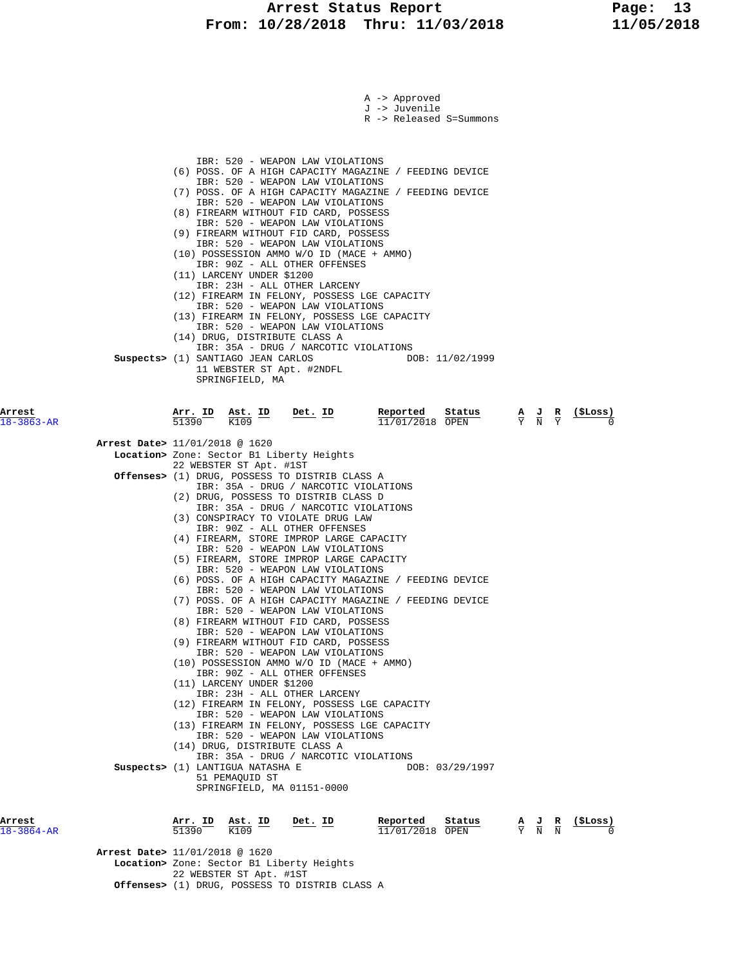## **Arrest Status Report 13**<br>10/28/2018 Thru: 11/03/2018 11/05/2018  **From: 10/28/2018 Thru: 11/03/2018 11/05/2018**

|                            | A -> Approved                                                                                                                                                                                         |
|----------------------------|-------------------------------------------------------------------------------------------------------------------------------------------------------------------------------------------------------|
|                            | J -> Juvenile<br>R -> Released S=Summons                                                                                                                                                              |
|                            |                                                                                                                                                                                                       |
|                            | IBR: 520 - WEAPON LAW VIOLATIONS                                                                                                                                                                      |
|                            | (6) POSS. OF A HIGH CAPACITY MAGAZINE / FEEDING DEVICE                                                                                                                                                |
|                            | IBR: 520 - WEAPON LAW VIOLATIONS<br>(7) POSS. OF A HIGH CAPACITY MAGAZINE / FEEDING DEVICE                                                                                                            |
|                            | IBR: 520 - WEAPON LAW VIOLATIONS<br>(8) FIREARM WITHOUT FID CARD, POSSESS                                                                                                                             |
|                            | IBR: 520 - WEAPON LAW VIOLATIONS                                                                                                                                                                      |
|                            | (9) FIREARM WITHOUT FID CARD, POSSESS<br>IBR: 520 - WEAPON LAW VIOLATIONS                                                                                                                             |
|                            | (10) POSSESSION AMMO W/O ID (MACE + AMMO)<br>IBR: 90Z - ALL OTHER OFFENSES                                                                                                                            |
|                            | (11) LARCENY UNDER \$1200                                                                                                                                                                             |
|                            | IBR: 23H - ALL OTHER LARCENY<br>(12) FIREARM IN FELONY, POSSESS LGE CAPACITY                                                                                                                          |
|                            | IBR: 520 - WEAPON LAW VIOLATIONS<br>(13) FIREARM IN FELONY, POSSESS LGE CAPACITY                                                                                                                      |
|                            | IBR: 520 - WEAPON LAW VIOLATIONS<br>(14) DRUG, DISTRIBUTE CLASS A                                                                                                                                     |
|                            | IBR: 35A - DRUG / NARCOTIC VIOLATIONS                                                                                                                                                                 |
|                            | Suspects> (1) SANTIAGO JEAN CARLOS<br>DOB: 11/02/1999<br>11 WEBSTER ST Apt. #2NDFL                                                                                                                    |
|                            | SPRINGFIELD, MA                                                                                                                                                                                       |
| Arrest                     | Arr. ID<br>Reported<br>Status                                                                                                                                                                         |
| $18 - 3863 - AR$           | $\frac{\texttt{Ast.}}{\text{K109}}$ ID<br>$Det. ID$<br>$\frac{\mathbf{A}}{\mathbf{Y}}$ $\frac{\mathbf{J}}{\mathbf{N}}$ $\frac{\mathbf{R}}{\mathbf{Y}}$<br>$\frac{1}{2}$<br>51390<br>$11/01/2018$ OPEN |
|                            | Arrest Date> 11/01/2018 @ 1620                                                                                                                                                                        |
|                            | Location> Zone: Sector B1 Liberty Heights<br>22 WEBSTER ST Apt. #1ST                                                                                                                                  |
|                            | <b>Offenses&gt;</b> (1) DRUG, POSSESS TO DISTRIB CLASS A                                                                                                                                              |
|                            | IBR: 35A - DRUG / NARCOTIC VIOLATIONS<br>(2) DRUG, POSSESS TO DISTRIB CLASS D                                                                                                                         |
|                            | IBR: 35A - DRUG / NARCOTIC VIOLATIONS<br>(3) CONSPIRACY TO VIOLATE DRUG LAW                                                                                                                           |
|                            | IBR: 90Z - ALL OTHER OFFENSES<br>(4) FIREARM, STORE IMPROP LARGE CAPACITY                                                                                                                             |
|                            | IBR: 520 - WEAPON LAW VIOLATIONS                                                                                                                                                                      |
|                            | (5) FIREARM, STORE IMPROP LARGE CAPACITY<br>IBR: 520 - WEAPON LAW VIOLATIONS                                                                                                                          |
|                            | (6) POSS. OF A HIGH CAPACITY MAGAZINE / FEEDING DEVICE<br>IBR: 520 - WEAPON LAW VIOLATIONS                                                                                                            |
|                            | (7) POSS. OF A HIGH CAPACITY MAGAZINE / FEEDING DEVICE                                                                                                                                                |
|                            | IBR: 520 - WEAPON LAW VIOLATIONS<br>(8) FIREARM WITHOUT FID CARD, POSSESS                                                                                                                             |
|                            | IBR: 520 - WEAPON LAW VIOLATIONS<br>(9) FIREARM WITHOUT FID CARD, POSSESS                                                                                                                             |
|                            | IBR: 520 - WEAPON LAW VIOLATIONS<br>(10) POSSESSION AMMO W/O ID (MACE + AMMO)                                                                                                                         |
|                            | IBR: 90Z - ALL OTHER OFFENSES                                                                                                                                                                         |
|                            | (11) LARCENY UNDER \$1200<br>IBR: 23H - ALL OTHER LARCENY                                                                                                                                             |
|                            | (12) FIREARM IN FELONY, POSSESS LGE CAPACITY<br>IBR: 520 - WEAPON LAW VIOLATIONS                                                                                                                      |
|                            | (13) FIREARM IN FELONY, POSSESS LGE CAPACITY<br>IBR: 520 - WEAPON LAW VIOLATIONS                                                                                                                      |
|                            | (14) DRUG, DISTRIBUTE CLASS A                                                                                                                                                                         |
|                            | IBR: 35A - DRUG / NARCOTIC VIOLATIONS<br>Suspects> (1) LANTIGUA NATASHA E<br>DOB: 03/29/1997                                                                                                          |
|                            | 51 PEMAQUID ST<br>SPRINGFIELD, MA 01151-0000                                                                                                                                                          |
|                            |                                                                                                                                                                                                       |
| Arrest<br>$18 - 3864 - AR$ | Reported<br>Arr. ID<br>Ast. ID<br>Status<br>(ŞLoss)<br>Det. ID<br>$\frac{\mathbf{A}}{\mathbf{Y}}$ $\frac{\mathbf{J}}{\mathbf{N}}$ $\frac{\mathbf{R}}{\mathbf{N}}$<br>51390<br>K109<br>11/01/2018 OPEN |
|                            |                                                                                                                                                                                                       |
|                            | Arrest Date> 11/01/2018 @ 1620<br>Location> Zone: Sector B1 Liberty Heights                                                                                                                           |

22 WEBSTER ST Apt. #1ST

 **Offenses>** (1) DRUG, POSSESS TO DISTRIB CLASS A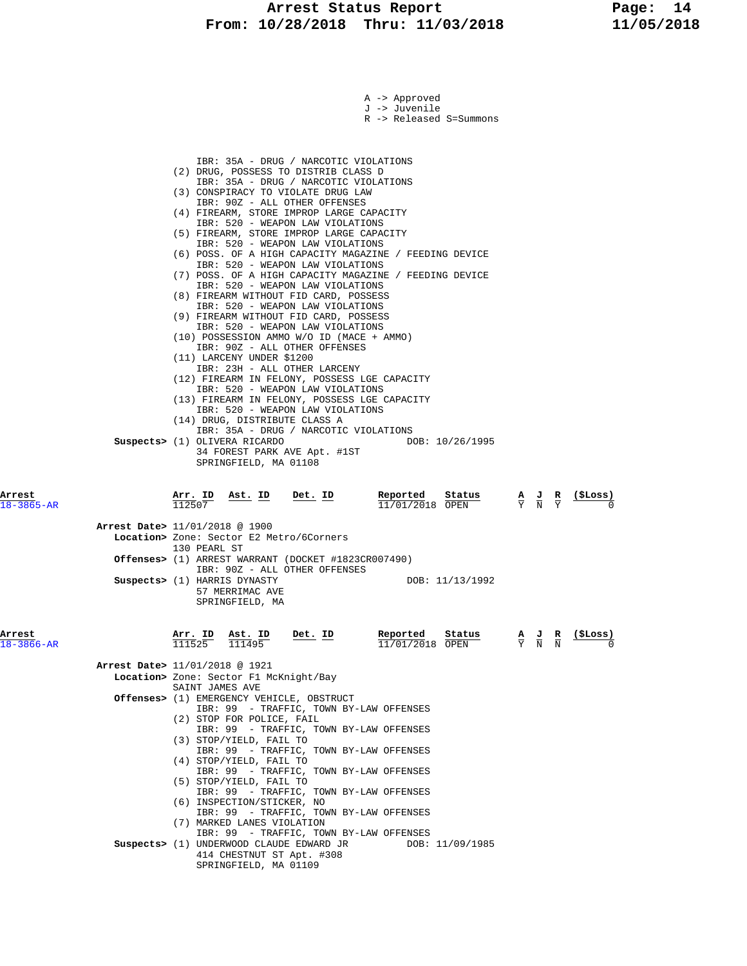### Arrest Status Report Fage: 14  **From: 10/28/2018 Thru: 11/03/2018 11/05/2018**

|                            | A -> Approved<br>J -> Juvenile<br>R -> Released S=Summons                                                                                                                                                                                                                                                                                                                                                                                                                                                                                                                                                                                                                                                                                                                                                                                                                                                                                                                                                                                                                                                                                                                                                                     |  |
|----------------------------|-------------------------------------------------------------------------------------------------------------------------------------------------------------------------------------------------------------------------------------------------------------------------------------------------------------------------------------------------------------------------------------------------------------------------------------------------------------------------------------------------------------------------------------------------------------------------------------------------------------------------------------------------------------------------------------------------------------------------------------------------------------------------------------------------------------------------------------------------------------------------------------------------------------------------------------------------------------------------------------------------------------------------------------------------------------------------------------------------------------------------------------------------------------------------------------------------------------------------------|--|
|                            | IBR: 35A - DRUG / NARCOTIC VIOLATIONS<br>(2) DRUG, POSSESS TO DISTRIB CLASS D<br>IBR: 35A - DRUG / NARCOTIC VIOLATIONS<br>(3) CONSPIRACY TO VIOLATE DRUG LAW<br>IBR: 90Z - ALL OTHER OFFENSES<br>(4) FIREARM, STORE IMPROP LARGE CAPACITY<br>IBR: 520 - WEAPON LAW VIOLATIONS<br>(5) FIREARM, STORE IMPROP LARGE CAPACITY<br>IBR: 520 - WEAPON LAW VIOLATIONS<br>(6) POSS. OF A HIGH CAPACITY MAGAZINE / FEEDING DEVICE<br>IBR: 520 - WEAPON LAW VIOLATIONS<br>(7) POSS. OF A HIGH CAPACITY MAGAZINE / FEEDING DEVICE<br>IBR: 520 - WEAPON LAW VIOLATIONS<br>(8) FIREARM WITHOUT FID CARD, POSSESS<br>IBR: 520 - WEAPON LAW VIOLATIONS<br>(9) FIREARM WITHOUT FID CARD, POSSESS<br>IBR: 520 - WEAPON LAW VIOLATIONS<br>(10) POSSESSION AMMO W/O ID (MACE + AMMO)<br>IBR: 90Z - ALL OTHER OFFENSES<br>(11) LARCENY UNDER \$1200<br>IBR: 23H - ALL OTHER LARCENY<br>(12) FIREARM IN FELONY, POSSESS LGE CAPACITY<br>IBR: 520 - WEAPON LAW VIOLATIONS<br>(13) FIREARM IN FELONY, POSSESS LGE CAPACITY<br>IBR: 520 - WEAPON LAW VIOLATIONS<br>(14) DRUG, DISTRIBUTE CLASS A<br>IBR: 35A - DRUG / NARCOTIC VIOLATIONS<br>Suspects> (1) OLIVERA RICARDO<br>DOB: 10/26/1995<br>34 FOREST PARK AVE Apt. #1ST<br>SPRINGFIELD, MA 01108 |  |
| Arrest<br>18-3865-AR       | <u>Ast. ID</u><br>Reported<br>Arr. ID<br>Det. ID<br>Status<br><u>(\$Loss)</u><br>$\frac{\mathbf{A}}{\mathbf{Y}}$ $\frac{\mathbf{J}}{\mathbf{N}}$ $\frac{\mathbf{R}}{\mathbf{Y}}$<br>112507<br>$11/01/2018$ OPEN                                                                                                                                                                                                                                                                                                                                                                                                                                                                                                                                                                                                                                                                                                                                                                                                                                                                                                                                                                                                               |  |
|                            | Arrest Date> 11/01/2018 @ 1900<br>Location> Zone: Sector E2 Metro/6Corners<br>130 PEARL ST                                                                                                                                                                                                                                                                                                                                                                                                                                                                                                                                                                                                                                                                                                                                                                                                                                                                                                                                                                                                                                                                                                                                    |  |
|                            | Offenses> (1) ARREST WARRANT (DOCKET #1823CR007490)<br>IBR: 90Z - ALL OTHER OFFENSES<br>Suspects> (1) HARRIS DYNASTY<br>DOB: 11/13/1992<br>57 MERRIMAC AVE<br>SPRINGFIELD, MA                                                                                                                                                                                                                                                                                                                                                                                                                                                                                                                                                                                                                                                                                                                                                                                                                                                                                                                                                                                                                                                 |  |
| Arrest<br>$18 - 3866 - AR$ | Det. ID<br>Reported<br>Status<br>(ŞLoss)<br>Arr. ID<br><u>Ast. ID</u><br>$\frac{A}{Y}$ $\frac{J}{N}$ $\frac{R}{N}$<br>111525<br>11/01/2018 OPEN                                                                                                                                                                                                                                                                                                                                                                                                                                                                                                                                                                                                                                                                                                                                                                                                                                                                                                                                                                                                                                                                               |  |
|                            | Arrest Date> 11/01/2018 @ 1921<br>Location> Zone: Sector F1 McKnight/Bay<br>SAINT JAMES AVE                                                                                                                                                                                                                                                                                                                                                                                                                                                                                                                                                                                                                                                                                                                                                                                                                                                                                                                                                                                                                                                                                                                                   |  |
|                            | Offenses> (1) EMERGENCY VEHICLE, OBSTRUCT<br>IBR: 99 - TRAFFIC, TOWN BY-LAW OFFENSES                                                                                                                                                                                                                                                                                                                                                                                                                                                                                                                                                                                                                                                                                                                                                                                                                                                                                                                                                                                                                                                                                                                                          |  |
|                            | (2) STOP FOR POLICE, FAIL<br>IBR: 99 - TRAFFIC, TOWN BY-LAW OFFENSES<br>(3) STOP/YIELD, FAIL TO                                                                                                                                                                                                                                                                                                                                                                                                                                                                                                                                                                                                                                                                                                                                                                                                                                                                                                                                                                                                                                                                                                                               |  |
|                            | IBR: 99 - TRAFFIC, TOWN BY-LAW OFFENSES<br>(4) STOP/YIELD, FAIL TO<br>IBR: 99 - TRAFFIC, TOWN BY-LAW OFFENSES                                                                                                                                                                                                                                                                                                                                                                                                                                                                                                                                                                                                                                                                                                                                                                                                                                                                                                                                                                                                                                                                                                                 |  |
|                            | (5) STOP/YIELD, FAIL TO<br>IBR: 99 - TRAFFIC, TOWN BY-LAW OFFENSES<br>(6) INSPECTION/STICKER, NO                                                                                                                                                                                                                                                                                                                                                                                                                                                                                                                                                                                                                                                                                                                                                                                                                                                                                                                                                                                                                                                                                                                              |  |
|                            | IBR: 99 - TRAFFIC, TOWN BY-LAW OFFENSES<br>(7) MARKED LANES VIOLATION                                                                                                                                                                                                                                                                                                                                                                                                                                                                                                                                                                                                                                                                                                                                                                                                                                                                                                                                                                                                                                                                                                                                                         |  |
|                            | IBR: 99 - TRAFFIC, TOWN BY-LAW OFFENSES<br>Suspects> (1) UNDERWOOD CLAUDE EDWARD JR<br>DOB: 11/09/1985<br>414 CHESTNUT ST Apt. #308<br>SPRINGFIELD, MA 01109                                                                                                                                                                                                                                                                                                                                                                                                                                                                                                                                                                                                                                                                                                                                                                                                                                                                                                                                                                                                                                                                  |  |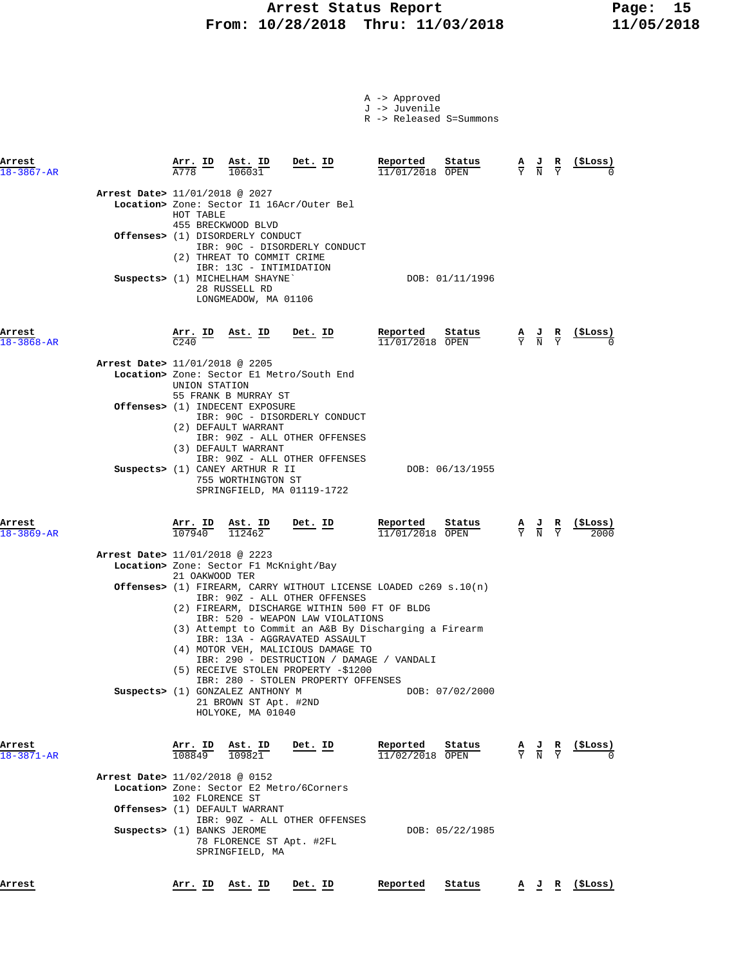# **Arrest Status Report 15<br>10/28/2018 Thru: 11/03/2018 11/05/2018 From: 10/28/2018 Thru: 11/03/2018 11/05/2018**

| -> Approved<br>A |  |
|------------------|--|
|------------------|--|

J -> Juvenile

R -> Released S=Summons

| Arrest<br>$18 - 3867 - AR$     |                          | Arr. ID Ast. ID<br>106031                                                                           | Det. ID                                                                                                                                                                                                                                                                                                                                                            | Reported<br>$11/01/2018$ OPEN | Status          | $\frac{A}{Y}$ $\frac{J}{N}$                                                                     | $rac{\mathbf{R}}{\mathrm{Y}}$                                                                       | (SLoss)    |
|--------------------------------|--------------------------|-----------------------------------------------------------------------------------------------------|--------------------------------------------------------------------------------------------------------------------------------------------------------------------------------------------------------------------------------------------------------------------------------------------------------------------------------------------------------------------|-------------------------------|-----------------|-------------------------------------------------------------------------------------------------|-----------------------------------------------------------------------------------------------------|------------|
| Arrest Date> 11/01/2018 @ 2027 | HOT TABLE                | 455 BRECKWOOD BLVD<br><b>Offenses&gt;</b> (1) DISORDERLY CONDUCT<br>(2) THREAT TO COMMIT CRIME      | Location> Zone: Sector I1 16Acr/Outer Bel<br>IBR: 90C - DISORDERLY CONDUCT                                                                                                                                                                                                                                                                                         |                               |                 |                                                                                                 |                                                                                                     |            |
|                                |                          | IBR: 13C - INTIMIDATION<br>Suspects> (1) MICHELHAM SHAYNE`<br>28 RUSSELL RD<br>LONGMEADOW, MA 01106 |                                                                                                                                                                                                                                                                                                                                                                    |                               | DOB: 01/11/1996 |                                                                                                 |                                                                                                     |            |
| Arrest<br>$18 - 3868 - AR$     | C <sub>240</sub>         | <u>Arr. ID Ast. ID</u>                                                                              | <u>Det. ID</u>                                                                                                                                                                                                                                                                                                                                                     | Reported<br>11/01/2018 OPEN   | Status          | $\frac{A}{Y}$ $\frac{J}{N}$ $\frac{R}{Y}$                                                       |                                                                                                     | $(\$Loss)$ |
| Arrest Date> 11/01/2018 @ 2205 | UNION STATION            | 55 FRANK B MURRAY ST                                                                                | Location> Zone: Sector El Metro/South End                                                                                                                                                                                                                                                                                                                          |                               |                 |                                                                                                 |                                                                                                     |            |
|                                |                          | Offenses> (1) INDECENT EXPOSURE<br>(2) DEFAULT WARRANT                                              | IBR: 90C - DISORDERLY CONDUCT<br>IBR: 90Z - ALL OTHER OFFENSES                                                                                                                                                                                                                                                                                                     |                               |                 |                                                                                                 |                                                                                                     |            |
|                                |                          | (3) DEFAULT WARRANT<br>Suspects> (1) CANEY ARTHUR R II<br>755 WORTHINGTON ST                        | IBR: 90Z - ALL OTHER OFFENSES<br>SPRINGFIELD, MA 01119-1722                                                                                                                                                                                                                                                                                                        |                               | DOB: 06/13/1955 |                                                                                                 |                                                                                                     |            |
| Arrest<br>18-3869-AR           | <u>Arr. ID</u><br>107940 | <u>Ast. ID</u><br>112462                                                                            | <u>Det. ID</u>                                                                                                                                                                                                                                                                                                                                                     | Reported<br>11/01/2018 OPEN   | Status          | $\frac{\mathbf{A}}{\mathbf{Y}}$ $\frac{\mathbf{J}}{\mathbf{N}}$ $\frac{\mathbf{R}}{\mathbf{Y}}$ |                                                                                                     | (ŞLoss)    |
| Arrest Date> 11/01/2018 @ 2223 | 21 OAKWOOD TER           | Location> Zone: Sector F1 McKnight/Bay                                                              |                                                                                                                                                                                                                                                                                                                                                                    |                               |                 |                                                                                                 |                                                                                                     |            |
|                                |                          |                                                                                                     | Offenses> (1) FIREARM, CARRY WITHOUT LICENSE LOADED c269 s.10(n)<br>IBR: 90Z - ALL OTHER OFFENSES<br>(2) FIREARM, DISCHARGE WITHIN 500 FT OF BLDG<br>IBR: 520 - WEAPON LAW VIOLATIONS<br>(3) Attempt to Commit an A&B By Discharging a Firearm<br>IBR: 13A - AGGRAVATED ASSAULT<br>(4) MOTOR VEH, MALICIOUS DAMAGE TO<br>IBR: 290 - DESTRUCTION / DAMAGE / VANDALI |                               |                 |                                                                                                 |                                                                                                     |            |
|                                |                          | Suspects> (1) GONZALEZ ANTHONY M<br>21 BROWN ST Apt. #2ND<br>HOLYOKE, MA 01040                      | (5) RECEIVE STOLEN PROPERTY -\$1200<br>IBR: 280 - STOLEN PROPERTY OFFENSES                                                                                                                                                                                                                                                                                         |                               | DOB: 07/02/2000 |                                                                                                 |                                                                                                     |            |
| Arrest<br>$18 - 3871 - AR$     | Arr. ID<br>108849        | Ast. ID<br>109821                                                                                   | Det. ID                                                                                                                                                                                                                                                                                                                                                            | Reported<br>11/02/2018 OPEN   | Status          | $\frac{\mathbf{A}}{\mathbf{Y}}$ $\frac{\mathbf{J}}{\mathbf{N}}$ $\frac{\mathbf{R}}{\mathbf{Y}}$ |                                                                                                     | (\$Loss)   |
| Arrest Date> 11/02/2018 @ 0152 | 102 FLORENCE ST          | Offenses> (1) DEFAULT WARRANT                                                                       | Location> Zone: Sector E2 Metro/6Corners                                                                                                                                                                                                                                                                                                                           |                               |                 |                                                                                                 |                                                                                                     |            |
| Suspects> (1) BANKS JEROME     |                          | 78 FLORENCE ST Apt. #2FL<br>SPRINGFIELD, MA                                                         | IBR: 90Z - ALL OTHER OFFENSES                                                                                                                                                                                                                                                                                                                                      |                               | DOB: 05/22/1985 |                                                                                                 |                                                                                                     |            |
| Arrest                         |                          | <u>Arr. ID Ast. ID</u>                                                                              | Det. ID                                                                                                                                                                                                                                                                                                                                                            | Reported                      | Status          |                                                                                                 | $\frac{\mathbf{A}}{\mathbf{B}}$ , $\frac{\mathbf{U}}{\mathbf{B}}$ , $\frac{\mathbf{K}}{\mathbf{B}}$ | (ŞLoss)    |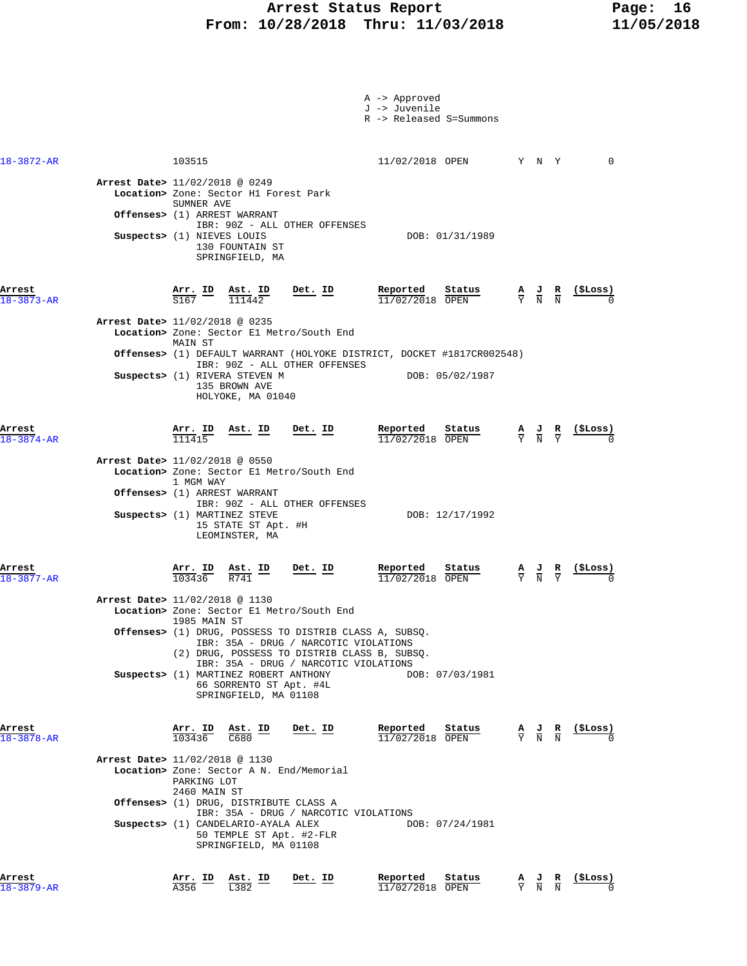### Arrest Status Report Fage: 16  **From: 10/28/2018 Thru: 11/03/2018 11/05/2018**

|                            |                                |                               |                                                                                           |                                                                                                                                                | A -> Approved<br>J -> Juvenile | R -> Released S=Summons   |               |                                                                                                 |                               |                          |
|----------------------------|--------------------------------|-------------------------------|-------------------------------------------------------------------------------------------|------------------------------------------------------------------------------------------------------------------------------------------------|--------------------------------|---------------------------|---------------|-------------------------------------------------------------------------------------------------|-------------------------------|--------------------------|
| 18-3872-AR                 |                                | 103515                        |                                                                                           |                                                                                                                                                | 11/02/2018 OPEN                | Y N Y                     |               |                                                                                                 |                               | $\mathbf 0$              |
|                            | Arrest Date> 11/02/2018 @ 0249 | SUMNER AVE                    | Location> Zone: Sector H1 Forest Park                                                     |                                                                                                                                                |                                |                           |               |                                                                                                 |                               |                          |
|                            |                                |                               | Offenses> (1) ARREST WARRANT                                                              | IBR: 90Z - ALL OTHER OFFENSES                                                                                                                  |                                |                           |               |                                                                                                 |                               |                          |
|                            | Suspects> (1) NIEVES LOUIS     |                               | 130 FOUNTAIN ST<br>SPRINGFIELD, MA                                                        |                                                                                                                                                |                                | DOB: 01/31/1989           |               |                                                                                                 |                               |                          |
| Arrest<br>$18 - 3873 - AR$ |                                | Arr. ID<br>$\overline{$}3167$ | Ast. ID<br>111442                                                                         | Det. ID                                                                                                                                        | Reported<br>11/02/2018 OPEN    | Status                    |               | $\frac{\mathbf{A}}{\mathbf{Y}}$ $\frac{\mathbf{J}}{\mathbf{N}}$                                 | $\frac{R}{N}$                 | (SLOSS)                  |
|                            | Arrest Date> 11/02/2018 @ 0235 |                               |                                                                                           |                                                                                                                                                |                                |                           |               |                                                                                                 |                               |                          |
|                            |                                | MAIN ST                       |                                                                                           | Location> Zone: Sector El Metro/South End                                                                                                      |                                |                           |               |                                                                                                 |                               |                          |
|                            |                                |                               |                                                                                           | Offenses> (1) DEFAULT WARRANT (HOLYOKE DISTRICT, DOCKET #1817CR002548)<br>IBR: 90Z - ALL OTHER OFFENSES                                        |                                |                           |               |                                                                                                 |                               |                          |
|                            |                                |                               | Suspects> (1) RIVERA STEVEN M<br>135 BROWN AVE<br>HOLYOKE, MA 01040                       |                                                                                                                                                |                                | DOB: 05/02/1987           |               |                                                                                                 |                               |                          |
| Arrest<br>$18 - 3874 - AR$ |                                | Arr. ID<br>111415             | Ast. ID                                                                                   | Det. ID                                                                                                                                        | Reported<br>11/02/2018 OPEN    | Status                    |               | $\frac{\mathbf{A}}{\mathbf{Y}}$ $\frac{\mathbf{J}}{\mathbf{N}}$ $\frac{\mathbf{R}}{\mathbf{Y}}$ |                               | (ŞLoss)                  |
|                            | Arrest Date> 11/02/2018 @ 0550 |                               |                                                                                           | Location> Zone: Sector El Metro/South End                                                                                                      |                                |                           |               |                                                                                                 |                               |                          |
|                            |                                | 1 MGM WAY                     | Offenses> (1) ARREST WARRANT                                                              | IBR: 90Z - ALL OTHER OFFENSES                                                                                                                  |                                |                           |               |                                                                                                 |                               |                          |
|                            |                                |                               | Suspects> (1) MARTINEZ STEVE<br>15 STATE ST Apt. #H<br>LEOMINSTER, MA                     |                                                                                                                                                |                                | DOB: 12/17/1992           |               |                                                                                                 |                               |                          |
| Arrest<br>$18 - 3877 - AR$ |                                | <u>Arr.</u> ID<br>103436      | Ast. ID<br>R741                                                                           | Det. ID                                                                                                                                        | Reported<br>11/02/2018 OPEN    | Status                    |               | $\frac{A}{Y}$ $\frac{J}{N}$                                                                     | $rac{\mathbf{R}}{\mathrm{Y}}$ | <u>(ŞLoss)</u>           |
|                            | Arrest Date> 11/02/2018 @ 1130 |                               |                                                                                           | Location> Zone: Sector El Metro/South End                                                                                                      |                                |                           |               |                                                                                                 |                               |                          |
|                            |                                | 1985 MAIN ST                  |                                                                                           | Offenses> (1) DRUG, POSSESS TO DISTRIB CLASS A, SUBSQ<br>IBR: 35A - DRUG / NARCOTIC VIOLATIONS<br>(2) DRUG, POSSESS TO DISTRIB CLASS B, SUBSQ. |                                |                           |               |                                                                                                 |                               |                          |
|                            |                                |                               |                                                                                           | IBR: 35A - DRUG / NARCOTIC VIOLATIONS                                                                                                          |                                |                           |               |                                                                                                 |                               |                          |
|                            |                                |                               | Suspects> (1) MARTINEZ ROBERT ANTHONY<br>66 SORRENTO ST Apt. #4L<br>SPRINGFIELD, MA 01108 |                                                                                                                                                |                                | DOB: 07/03/1981           |               |                                                                                                 |                               |                          |
| Arrest<br>$18 - 3878 - AR$ |                                | Arr. ID Ast. ID<br>103436     | C680                                                                                      | Det. ID                                                                                                                                        | Reported                       | Status<br>11/02/2018 OPEN |               | $\frac{A}{Y}$ $\frac{J}{N}$ $\frac{R}{N}$                                                       |                               | (\$Loss)                 |
|                            | Arrest Date> 11/02/2018 @ 1130 |                               |                                                                                           |                                                                                                                                                |                                |                           |               |                                                                                                 |                               |                          |
|                            |                                | PARKING LOT                   |                                                                                           | Location> Zone: Sector A N. End/Memorial                                                                                                       |                                |                           |               |                                                                                                 |                               |                          |
|                            |                                | 2460 MAIN ST                  | <b>Offenses&gt;</b> (1) DRUG, DISTRIBUTE CLASS A                                          |                                                                                                                                                |                                |                           |               |                                                                                                 |                               |                          |
|                            |                                |                               | Suspects> (1) CANDELARIO-AYALA ALEX<br>50 TEMPLE ST Apt. #2-FLR<br>SPRINGFIELD, MA 01108  | IBR: 35A - DRUG / NARCOTIC VIOLATIONS                                                                                                          |                                | DOB: 07/24/1981           |               |                                                                                                 |                               |                          |
| Arrest<br>$18 - 3879 - AR$ |                                | Arr. ID<br>A356               | Ast. ID<br>L382                                                                           | Det. ID                                                                                                                                        | Reported<br>11/02/2018 OPEN    | Status                    | $\frac{A}{Y}$ | $\frac{J}{N}$ $\frac{R}{N}$                                                                     |                               | $(\xi Loss)$<br>$\Omega$ |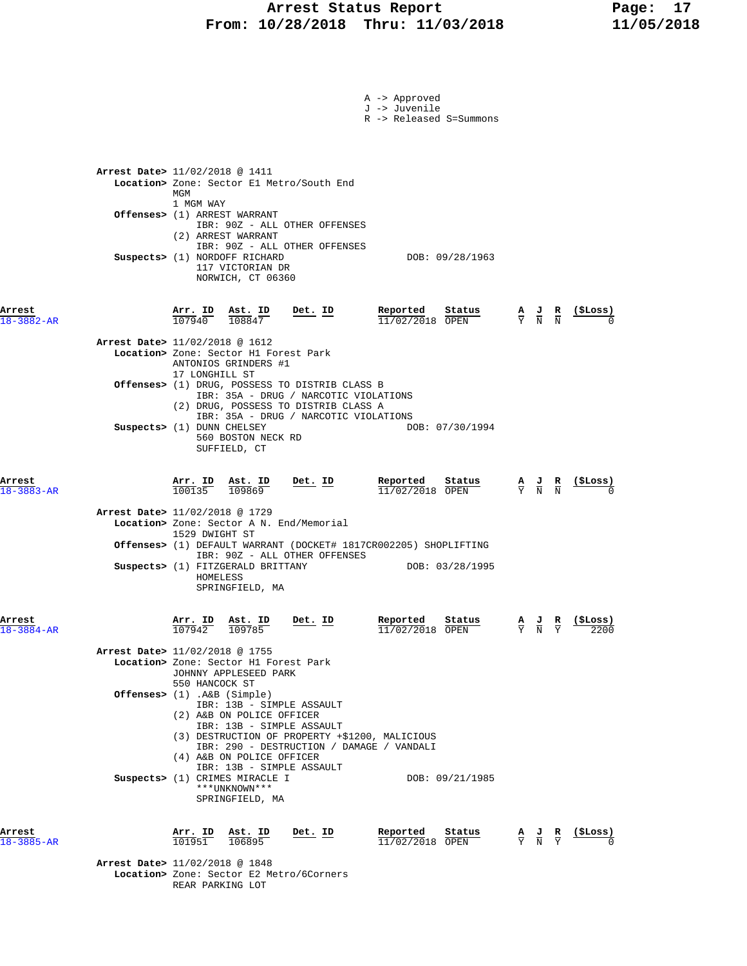### Arrest Status Report Fage: 17  **From: 10/28/2018 Thru: 11/03/2018 11/05/2018**

|                            |                                                                                                                                                                                                   | A -> Approved<br>J -> Juvenile<br>R -> Released S=Summons |                                                                                                             |
|----------------------------|---------------------------------------------------------------------------------------------------------------------------------------------------------------------------------------------------|-----------------------------------------------------------|-------------------------------------------------------------------------------------------------------------|
|                            | Arrest Date> 11/02/2018 @ 1411<br>Location> Zone: Sector E1 Metro/South End<br>MGM                                                                                                                |                                                           |                                                                                                             |
|                            | 1 MGM WAY<br>Offenses> (1) ARREST WARRANT<br>IBR: 90Z - ALL OTHER OFFENSES<br>(2) ARREST WARRANT                                                                                                  |                                                           |                                                                                                             |
|                            | IBR: 90Z - ALL OTHER OFFENSES<br>Suspects> (1) NORDOFF RICHARD<br>117 VICTORIAN DR<br>NORWICH, CT 06360                                                                                           | DOB: 09/28/1963                                           |                                                                                                             |
| Arrest<br>$8 - 3882 - AR$  | Arr. ID<br>Ast. ID<br>Det. ID<br>107940<br>108847                                                                                                                                                 | Reported<br>Status<br>11/02/2018 OPEN                     | (ŞLoss)<br>$\frac{A}{Y}$ $\frac{J}{N}$<br>$\frac{R}{N}$                                                     |
|                            | Arrest Date> 11/02/2018 @ 1612<br>Location> Zone: Sector H1 Forest Park<br>ANTONIOS GRINDERS #1<br>17 LONGHILL ST                                                                                 |                                                           |                                                                                                             |
|                            | Offenses> (1) DRUG, POSSESS TO DISTRIB CLASS B<br>IBR: 35A - DRUG / NARCOTIC VIOLATIONS<br>(2) DRUG, POSSESS TO DISTRIB CLASS A                                                                   |                                                           |                                                                                                             |
|                            | IBR: 35A - DRUG / NARCOTIC VIOLATIONS<br>Suspects> (1) DUNN CHELSEY<br>560 BOSTON NECK RD<br>SUFFIELD, CT                                                                                         | DOB: 07/30/1994                                           |                                                                                                             |
| Arrest<br>8-3883-AR        | Arr. ID<br>Ast. ID<br>Det. ID<br>100135<br>109869                                                                                                                                                 | Reported<br>Status<br>11/02/2018 OPEN                     | (\$Loss)<br>$\frac{\mathbf{A}}{\mathbf{Y}}$ $\frac{\mathbf{J}}{\mathbf{N}}$ $\frac{\mathbf{R}}{\mathbf{N}}$ |
|                            | Arrest Date> 11/02/2018 @ 1729<br>Location> Zone: Sector A N. End/Memorial<br>1529 DWIGHT ST<br>Offenses> (1) DEFAULT WARRANT (DOCKET# 1817CR002205) SHOPLIFTING<br>IBR: 90Z - ALL OTHER OFFENSES |                                                           |                                                                                                             |
|                            | Suspects> (1) FITZGERALD BRITTANY<br>HOMELESS<br>SPRINGFIELD, MA                                                                                                                                  | DOB: 03/28/1995                                           |                                                                                                             |
| Arrest<br>$18 - 3884 - AR$ | <u>Arr.</u> ID<br>Ast. ID<br>Det. ID<br>107942<br>109785                                                                                                                                          | Reported<br>Status<br>11/02/2018 OPEN                     | (\$Loss)<br>$\frac{\mathbf{A}}{\mathbf{Y}}$ $\frac{\mathbf{J}}{\mathbf{N}}$<br>R<br>$\overline{Y}$<br>2200  |
|                            | Arrest Date> 11/02/2018 @ 1755<br>Location> Zone: Sector H1 Forest Park<br>JOHNNY APPLESEED PARK<br>550 HANCOCK ST                                                                                |                                                           |                                                                                                             |
|                            | Offenses> $(1)$ . A&B $(Simple)$<br>IBR: 13B - SIMPLE ASSAULT<br>(2) A&B ON POLICE OFFICER<br>IBR: 13B - SIMPLE ASSAULT                                                                           |                                                           |                                                                                                             |
|                            | (3) DESTRUCTION OF PROPERTY +\$1200, MALICIOUS<br>IBR: 290 - DESTRUCTION / DAMAGE / VANDALI<br>(4) A&B ON POLICE OFFICER<br>IBR: 13B - SIMPLE ASSAULT                                             |                                                           |                                                                                                             |
|                            | Suspects> (1) CRIMES MIRACLE I<br>***UNKNOWN***<br>SPRINGFIELD, MA                                                                                                                                | DOB: 09/21/1985                                           |                                                                                                             |
| Arrest<br>$18 - 3885 - AR$ | Det. ID<br>$\frac{\texttt{Arr.}}{101951}$<br><u>Ast. ID</u><br>106895                                                                                                                             | Reported<br>Status<br>11/02/2018 OPEN                     | (ŞLoss)<br>$\frac{\mathbf{A}}{\mathbf{Y}}$ $\frac{\mathbf{J}}{\mathbf{N}}$<br>$rac{\mathbf{R}}{\mathrm{Y}}$ |
|                            | Arrest Date> 11/02/2018 @ 1848<br>Location> Zone: Sector E2 Metro/6Corners<br>REAR PARKING LOT                                                                                                    |                                                           |                                                                                                             |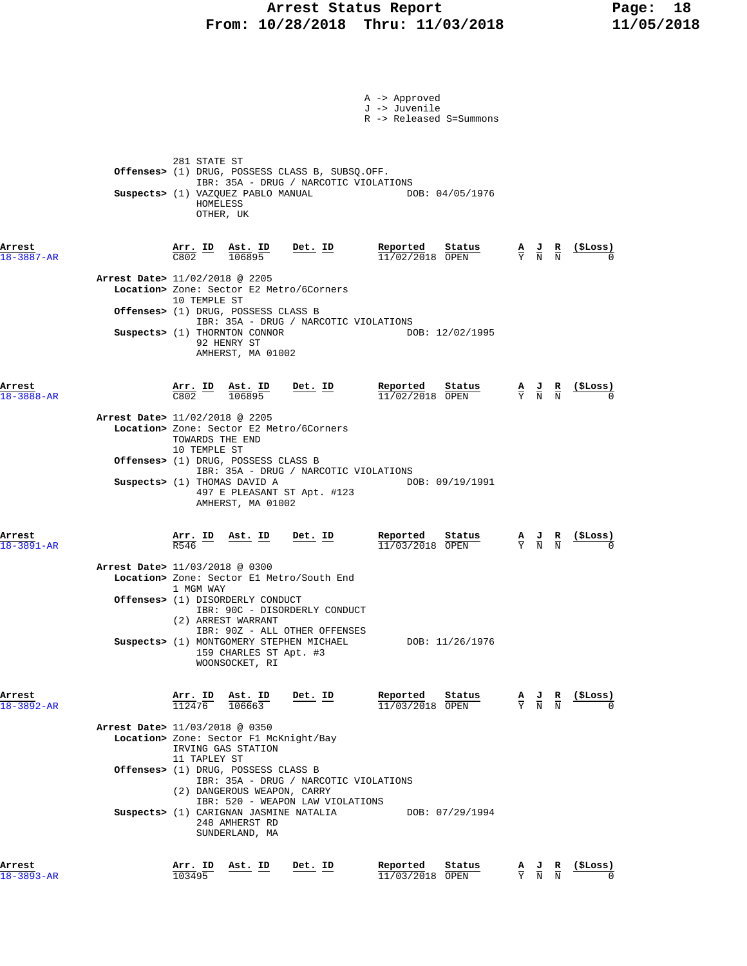### Arrest Status Report Fage: 18  **From: 10/28/2018 Thru: 11/03/2018 11/05/2018**

|                            |                                                                                                                                                                                      |                                                                           | A -> Approved<br>J -> Juvenile<br>R -> Released S=Summons |                                                                                                 |                                                    |
|----------------------------|--------------------------------------------------------------------------------------------------------------------------------------------------------------------------------------|---------------------------------------------------------------------------|-----------------------------------------------------------|-------------------------------------------------------------------------------------------------|----------------------------------------------------|
|                            | 281 STATE ST<br>Offenses> (1) DRUG, POSSESS CLASS B, SUBSQ.OFF.<br>Suspects> (1) VAZQUEZ PABLO MANUAL<br>HOMELESS<br>OTHER, UK                                                       | IBR: 35A - DRUG / NARCOTIC VIOLATIONS                                     | DOB: 04/05/1976                                           |                                                                                                 |                                                    |
| Arrest<br>18-3887-AR       | $\frac{\texttt{Arr.}}{\texttt{C802}}$ $\frac{\texttt{ID}}{\texttt{D}}$<br>ASt. ID<br>106895<br>Arrest Date> 11/02/2018 @ 2205<br>Location> Zone: Sector E2 Metro/6Corners            | $Det. ID$                                                                 | Reported<br>Status<br>$11/02/2018$ OPEN                   | $\frac{A}{Y}$ $\frac{J}{N}$ $\frac{R}{N}$                                                       | <u>(SLoss)</u>                                     |
|                            | 10 TEMPLE ST<br>Offenses> (1) DRUG, POSSESS CLASS B<br>Suspects> (1) THORNTON CONNOR<br>92 HENRY ST<br>AMHERST, MA 01002                                                             | IBR: 35A - DRUG / NARCOTIC VIOLATIONS                                     | DOB: 12/02/1995                                           |                                                                                                 |                                                    |
| Arrest<br>$18 - 3888 - AR$ | $\frac{\text{Arr.}}{\text{C802}}$ $\frac{\text{ID}}{106895}$<br>106895                                                                                                               | <u>Det. ID</u>                                                            | Reported<br>Status<br>$11/02/2018$ OPEN                   | $\frac{A}{Y}$ $\frac{J}{N}$ $\frac{R}{N}$                                                       | $\frac{1}{2}$                                      |
|                            | Arrest Date> 11/02/2018 @ 2205<br>Location> Zone: Sector E2 Metro/6Corners<br>TOWARDS THE END<br>10 TEMPLE ST<br>Offenses> (1) DRUG, POSSESS CLASS B<br>Suspects> (1) THOMAS DAVID A | IBR: 35A - DRUG / NARCOTIC VIOLATIONS                                     | DOB: 09/19/1991                                           |                                                                                                 |                                                    |
| Arrest<br>18-3891-AR       | 497 E PLEASANT ST Apt. #123<br>AMHERST, MA 01002<br>$\frac{\texttt{Arr.}}{\texttt{R546}}$ ID Ast. ID                                                                                 | Det. ID                                                                   | Reported<br>Status<br>11/03/2018 OPEN                     |                                                                                                 | $\frac{A}{Y}$ $\frac{J}{N}$ $\frac{R}{N}$ (\$Loss) |
|                            | Arrest Date> 11/03/2018 @ 0300<br>Location> Zone: Sector El Metro/South End<br>1 MGM WAY<br><b>Offenses&gt;</b> (1) DISORDERLY CONDUCT                                               | IBR: 90C - DISORDERLY CONDUCT                                             |                                                           |                                                                                                 |                                                    |
|                            | (2) ARREST WARRANT<br>Suspects> (1) MONTGOMERY STEPHEN MICHAEL<br>159 CHARLES ST Apt. #3<br>WOONSOCKET, RI                                                                           | IBR: 90Z - ALL OTHER OFFENSES                                             | DOB: 11/26/1976                                           |                                                                                                 |                                                    |
| Arrest<br>18-3892-AR       | Arr. ID<br>Ast. ID<br>112476<br>106663                                                                                                                                               | Det. ID                                                                   | Reported<br>Status<br>$11/03/2018$ OPEN                   | $\frac{A}{Y}$ $\frac{J}{N}$ $\frac{R}{N}$                                                       | (\$Loss)                                           |
|                            | Arrest Date> 11/03/2018 @ 0350<br>Location> Zone: Sector F1 McKnight/Bay<br>IRVING GAS STATION<br>11 TAPLEY ST                                                                       |                                                                           |                                                           |                                                                                                 |                                                    |
|                            | Offenses> (1) DRUG, POSSESS CLASS B<br>(2) DANGEROUS WEAPON, CARRY<br>Suspects> (1) CARIGNAN JASMINE NATALIA<br>248 AMHERST RD<br>SUNDERLAND, MA                                     | IBR: 35A - DRUG / NARCOTIC VIOLATIONS<br>IBR: 520 - WEAPON LAW VIOLATIONS | DOB: 07/29/1994                                           |                                                                                                 |                                                    |
| Arrest<br>$18 - 3893 - AR$ | Arr. ID<br>Ast. ID<br>103495                                                                                                                                                         | Det. ID                                                                   | Reported<br>Status<br>11/03/2018 OPEN                     | $\frac{\mathbf{A}}{\mathbf{Y}}$ $\frac{\mathbf{J}}{\mathbf{N}}$ $\frac{\mathbf{R}}{\mathbf{N}}$ | (\$Loss)                                           |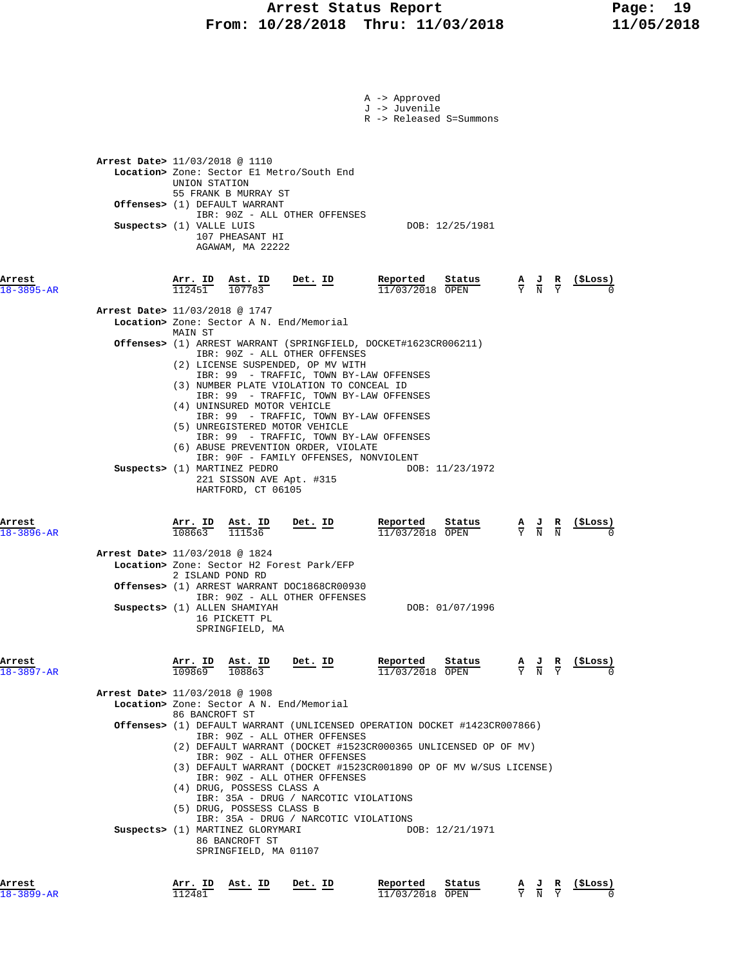# **Arrest Status Report** Page: 19<br>10/28/2018 Thru: 11/03/2018 11/05/2018  **From: 10/28/2018 Thru: 11/03/2018 11/05/2018**

| Arrest<br>$18 - 3899 - AR$ |                                                            | Arr. ID<br>112481                   | Ast. ID                                                                                                                               | Det. ID                                                                                                                                                                                                                                                                                                                                                                                                                                | Reported                       | Status<br>11/03/2018 OPEN                                                                                                                                                          |                             |                                                                                                 | $\frac{A}{Y}$ $\frac{J}{N}$ $\frac{R}{Y}$ $\frac{($Loss)}{N}$ |  |
|----------------------------|------------------------------------------------------------|-------------------------------------|---------------------------------------------------------------------------------------------------------------------------------------|----------------------------------------------------------------------------------------------------------------------------------------------------------------------------------------------------------------------------------------------------------------------------------------------------------------------------------------------------------------------------------------------------------------------------------------|--------------------------------|------------------------------------------------------------------------------------------------------------------------------------------------------------------------------------|-----------------------------|-------------------------------------------------------------------------------------------------|---------------------------------------------------------------|--|
|                            |                                                            |                                     | (4) DRUG, POSSESS CLASS A<br>(5) DRUG, POSSESS CLASS B<br>Suspects> (1) MARTINEZ GLORYMARI<br>86 BANCROFT ST<br>SPRINGFIELD, MA 01107 | IBR: 90Z - ALL OTHER OFFENSES<br>IBR: 35A - DRUG / NARCOTIC VIOLATIONS<br>IBR: 35A - DRUG / NARCOTIC VIOLATIONS                                                                                                                                                                                                                                                                                                                        |                                | (3) DEFAULT WARRANT (DOCKET #1523CR001890 OP OF MV W/SUS LICENSE)<br>DOB: 12/21/1971                                                                                               |                             |                                                                                                 |                                                               |  |
| Arrest<br>$18 - 3897 - AR$ | <b>Arrest Date&gt;</b> 11/03/2018 @ 1908                   | Arr. ID<br>109869<br>86 BANCROFT ST | Ast. ID<br>108863                                                                                                                     | <u>Det. ID</u><br>Location> Zone: Sector A N. End/Memorial<br>IBR: 90Z - ALL OTHER OFFENSES<br>IBR: 90Z - ALL OTHER OFFENSES                                                                                                                                                                                                                                                                                                           | Reported                       | Status<br>11/03/2018 OPEN<br><b>Offenses&gt;</b> (1) DEFAULT WARRANT (UNLICENSED OPERATION DOCKET #1423CR007866)<br>(2) DEFAULT WARRANT (DOCKET #1523CR000365 UNLICENSED OP OF MV) |                             | $\frac{A}{Y}$ $\frac{J}{N}$ $\frac{R}{Y}$                                                       | (\$Loss)                                                      |  |
|                            | Arrest Date> 11/03/2018 @ 1824                             | 2 ISLAND POND RD                    | Suspects> (1) ALLEN SHAMIYAH<br>16 PICKETT PL<br>SPRINGFIELD, MA                                                                      | Location> Zone: Sector H2 Forest Park/EFP<br><b>Offenses&gt;</b> (1) ARREST WARRANT DOC1868CR00930<br>IBR: 90Z - ALL OTHER OFFENSES                                                                                                                                                                                                                                                                                                    |                                | DOB: 01/07/1996                                                                                                                                                                    |                             |                                                                                                 |                                                               |  |
| Arrest<br>$18 - 3896 - AR$ |                                                            | Arr. ID<br>108663                   | Suspects> (1) MARTINEZ PEDRO<br>221 SISSON AVE Apt. #315<br>HARTFORD, CT 06105<br>Ast. ID<br>111536                                   | IBR: 90F - FAMILY OFFENSES, NONVIOLENT<br>Det. ID                                                                                                                                                                                                                                                                                                                                                                                      | Reported                       | DOB: 11/23/1972<br>Status<br>11/03/2018 OPEN                                                                                                                                       | $\frac{A}{Y}$ $\frac{J}{N}$ | $\frac{\mathbf{R}}{\mathbf{N}}$                                                                 | (SLOSS)                                                       |  |
|                            |                                                            | MAIN ST                             | (4) UNINSURED MOTOR VEHICLE                                                                                                           | Offenses> (1) ARREST WARRANT (SPRINGFIELD, DOCKET#1623CR006211)<br>IBR: 90Z - ALL OTHER OFFENSES<br>(2) LICENSE SUSPENDED, OP MV WITH<br>IBR: 99 - TRAFFIC, TOWN BY-LAW OFFENSES<br>(3) NUMBER PLATE VIOLATION TO CONCEAL ID<br>IBR: 99 - TRAFFIC, TOWN BY-LAW OFFENSES<br>IBR: 99 - TRAFFIC, TOWN BY-LAW OFFENSES<br>(5) UNREGISTERED MOTOR VEHICLE<br>IBR: 99 - TRAFFIC, TOWN BY-LAW OFFENSES<br>(6) ABUSE PREVENTION ORDER, VIOLATE |                                |                                                                                                                                                                                    |                             |                                                                                                 |                                                               |  |
| Arrest<br>$18 - 3895 - AR$ | Arrest Date> 11/03/2018 @ 1747                             | Arr. ID Ast. ID<br>112451           | 107783                                                                                                                                | Det. ID<br>Location> Zone: Sector A N. End/Memorial                                                                                                                                                                                                                                                                                                                                                                                    | Reported                       | Status<br>$11/03/2018$ OPEN                                                                                                                                                        |                             | $\frac{\mathbf{A}}{\mathbf{Y}}$ $\frac{\mathbf{J}}{\mathbf{N}}$ $\frac{\mathbf{R}}{\mathbf{Y}}$ | (ŞLoss)                                                       |  |
|                            | Arrest Date> 11/03/2018 @ 1110<br>Suspects> (1) VALLE LUIS | UNION STATION                       | 55 FRANK B MURRAY ST<br><b>Offenses&gt;</b> (1) DEFAULT WARRANT<br>107 PHEASANT HI<br>AGAWAM, MA 22222                                | Location> Zone: Sector El Metro/South End<br>IBR: 90Z - ALL OTHER OFFENSES                                                                                                                                                                                                                                                                                                                                                             |                                | DOB: 12/25/1981                                                                                                                                                                    |                             |                                                                                                 |                                                               |  |
|                            |                                                            |                                     |                                                                                                                                       |                                                                                                                                                                                                                                                                                                                                                                                                                                        | A -> Approved<br>J -> Juvenile | R -> Released S=Summons                                                                                                                                                            |                             |                                                                                                 |                                                               |  |